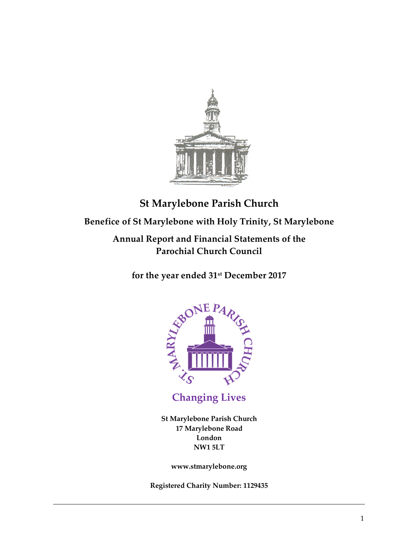

# **St Marylebone Parish Church**

# **Benefice of St Marylebone with Holy Trinity, St Marylebone**

**Annual Report and Financial Statements of the Parochial Church Council** 

**for the year ended 31st December 2017**



# **Changing Lives**

**St Marylebone Parish Church 17 Marylebone Road London NW1 5LT** 

**www.stmarylebone.org** 

**Registered Charity Number: 1129435**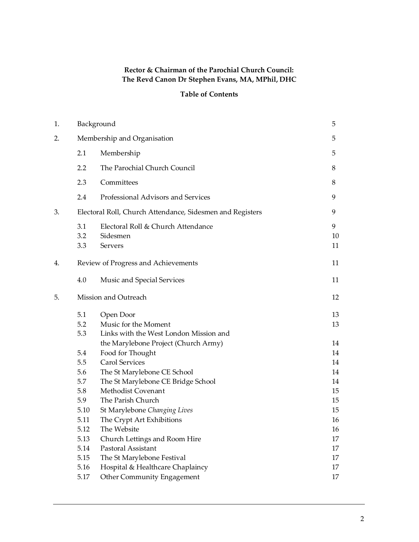# **Rector & Chairman of the Parochial Church Council: The Revd Canon Dr Stephen Evans, MA, MPhil, DHC**

# **Table of Contents**

| 1. |                             | Background                                                | 5             |  |  |
|----|-----------------------------|-----------------------------------------------------------|---------------|--|--|
| 2. | Membership and Organisation |                                                           |               |  |  |
|    | 2.1                         | Membership                                                | 5             |  |  |
|    | $2.2\phantom{0}$            | The Parochial Church Council                              | 8             |  |  |
|    | 2.3                         | Committees                                                | 8             |  |  |
|    | 2.4                         | Professional Advisors and Services                        | 9             |  |  |
| 3. |                             | Electoral Roll, Church Attendance, Sidesmen and Registers | 9             |  |  |
|    | 3.1<br>3.2<br>3.3           | Electoral Roll & Church Attendance<br>Sidesmen<br>Servers | 9<br>10<br>11 |  |  |
| 4. |                             | Review of Progress and Achievements                       | 11            |  |  |
|    | 4.0                         | Music and Special Services                                | 11            |  |  |
| 5. | Mission and Outreach        |                                                           |               |  |  |
|    | 5.1                         | Open Door                                                 | 13            |  |  |
|    | 5.2                         | Music for the Moment                                      | 13            |  |  |
|    | 5.3                         | Links with the West London Mission and                    |               |  |  |
|    |                             | the Marylebone Project (Church Army)                      | 14            |  |  |
|    | 5.4                         | Food for Thought                                          | 14            |  |  |
|    | 5.5                         | <b>Carol Services</b>                                     | 14            |  |  |
|    | 5.6                         | The St Marylebone CE School                               | 14            |  |  |
|    | 5.7                         | The St Marylebone CE Bridge School                        | 14            |  |  |
|    | 5.8                         | Methodist Covenant                                        | 15            |  |  |
|    | 5.9                         | The Parish Church                                         | 15            |  |  |
|    | 5.10                        | St Marylebone Changing Lives                              | 15            |  |  |
|    | 5.11                        | The Crypt Art Exhibitions                                 | 16            |  |  |
|    | 5.12                        | The Website                                               | 16            |  |  |
|    | 5.13                        | Church Lettings and Room Hire                             | 17            |  |  |
|    | 5.14                        | Pastoral Assistant                                        | 17            |  |  |
|    | 5.15                        | The St Marylebone Festival                                | 17            |  |  |
|    | 5.16                        | Hospital & Healthcare Chaplaincy                          | 17            |  |  |
|    | 5.17                        | Other Community Engagement                                | 17            |  |  |
|    |                             |                                                           |               |  |  |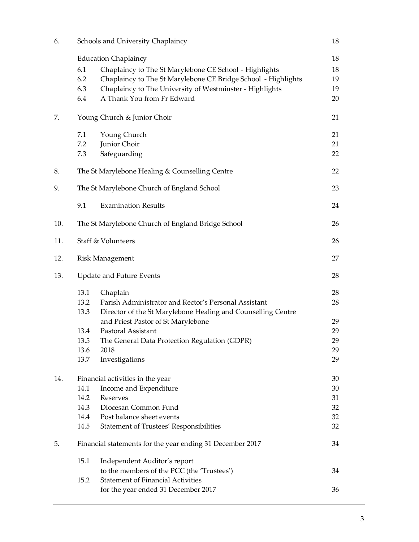| 6.  |      | Schools and University Chaplaincy                                               | 18 |
|-----|------|---------------------------------------------------------------------------------|----|
|     |      | <b>Education Chaplaincy</b>                                                     | 18 |
|     | 6.1  | Chaplaincy to The St Marylebone CE School - Highlights                          | 18 |
|     | 6.2  | Chaplaincy to The St Marylebone CE Bridge School - Highlights                   | 19 |
|     | 6.3  | Chaplaincy to The University of Westminster - Highlights                        | 19 |
|     | 6.4  | A Thank You from Fr Edward                                                      | 20 |
| 7.  |      | Young Church & Junior Choir                                                     | 21 |
|     | 7.1  | Young Church                                                                    | 21 |
|     | 7.2  | Junior Choir                                                                    | 21 |
|     | 7.3  | Safeguarding                                                                    | 22 |
| 8.  |      | The St Marylebone Healing & Counselling Centre                                  | 22 |
| 9.  |      | The St Marylebone Church of England School                                      | 23 |
|     | 9.1  | <b>Examination Results</b>                                                      | 24 |
| 10. |      | The St Marylebone Church of England Bridge School                               | 26 |
|     |      |                                                                                 |    |
| 11. |      | Staff & Volunteers                                                              | 26 |
| 12. |      | Risk Management                                                                 | 27 |
| 13. |      | Update and Future Events                                                        | 28 |
|     | 13.1 | Chaplain                                                                        | 28 |
|     | 13.2 | Parish Administrator and Rector's Personal Assistant                            | 28 |
|     | 13.3 | Director of the St Marylebone Healing and Counselling Centre                    |    |
|     |      |                                                                                 |    |
|     |      | and Priest Pastor of St Marylebone                                              | 29 |
|     | 13.4 | Pastoral Assistant                                                              | 29 |
|     | 13.5 | The General Data Protection Regulation (GDPR)                                   | 29 |
|     | 13.6 | 2018                                                                            | 29 |
|     | 13.7 | Investigations                                                                  | 29 |
| 14. |      | Financial activities in the year                                                | 30 |
|     | 14.1 | Income and Expenditure                                                          | 30 |
|     | 14.2 | Reserves                                                                        | 31 |
|     | 14.3 | Diocesan Common Fund                                                            | 32 |
|     | 14.4 | Post balance sheet events                                                       | 32 |
|     | 14.5 | <b>Statement of Trustees' Responsibilities</b>                                  | 32 |
| 5.  |      | Financial statements for the year ending 31 December 2017                       | 34 |
|     | 15.1 | Independent Auditor's report                                                    |    |
|     |      | to the members of the PCC (the 'Trustees')                                      | 34 |
|     | 15.2 | <b>Statement of Financial Activities</b><br>for the year ended 31 December 2017 |    |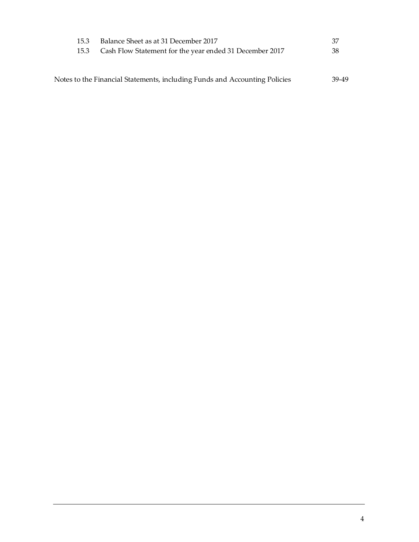| 15.3 | Balance Sheet as at 31 December 2017                         | -37 |  |
|------|--------------------------------------------------------------|-----|--|
|      | 15.3 Cash Flow Statement for the year ended 31 December 2017 |     |  |
|      |                                                              |     |  |
|      |                                                              |     |  |

Notes to the Financial Statements, including Funds and Accounting Policies 39-49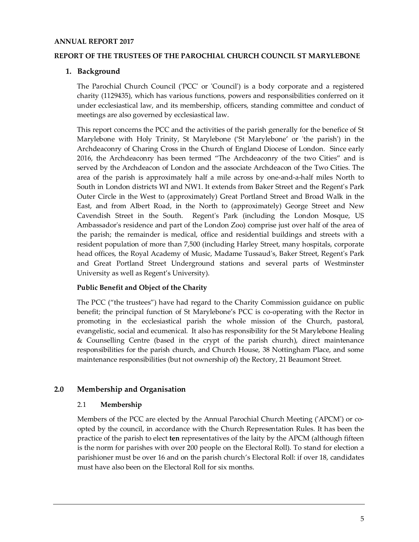#### **ANNUAL REPORT 2017**

#### **REPORT OF THE TRUSTEES OF THE PAROCHIAL CHURCH COUNCIL ST MARYLEBONE**

#### **1. Background**

The Parochial Church Council ('PCC' or 'Council') is a body corporate and a registered charity (1129435), which has various functions, powers and responsibilities conferred on it under ecclesiastical law, and its membership, officers, standing committee and conduct of meetings are also governed by ecclesiastical law.

This report concerns the PCC and the activities of the parish generally for the benefice of St Marylebone with Holy Trinity, St Marylebone ('St Marylebone' or 'the parish') in the Archdeaconry of Charing Cross in the Church of England Diocese of London. Since early 2016, the Archdeaconry has been termed "The Archdeaconry of the two Cities" and is served by the Archdeacon of London and the associate Archdeacon of the Two Cities. The area of the parish is approximately half a mile across by one-and-a-half miles North to South in London districts WI and NW1. It extends from Baker Street and the Regent's Park Outer Circle in the West to (approximately) Great Portland Street and Broad Walk in the East, and from Albert Road, in the North to (approximately) George Street and New Cavendish Street in the South. Regent's Park (including the London Mosque, US Ambassador's residence and part of the London Zoo) comprise just over half of the area of the parish; the remainder is medical, office and residential buildings and streets with a resident population of more than 7,500 (including Harley Street, many hospitals, corporate head offices, the Royal Academy of Music, Madame Tussaud's, Baker Street, Regent's Park and Great Portland Street Underground stations and several parts of Westminster University as well as Regent's University).

#### **Public Benefit and Object of the Charity**

The PCC ("the trustees") have had regard to the Charity Commission guidance on public benefit; the principal function of St Marylebone's PCC is co-operating with the Rector in promoting in the ecclesiastical parish the whole mission of the Church, pastoral, evangelistic, social and ecumenical. It also has responsibility for the St Marylebone Healing & Counselling Centre (based in the crypt of the parish church), direct maintenance responsibilities for the parish church, and Church House, 38 Nottingham Place, and some maintenance responsibilities (but not ownership of) the Rectory, 21 Beaumont Street.

#### **2.0 Membership and Organisation**

#### 2.1 **Membership**

Members of the PCC are elected by the Annual Parochial Church Meeting ('APCM') or coopted by the council, in accordance with the Church Representation Rules. It has been the practice of the parish to elect **ten** representatives of the laity by the APCM (although fifteen is the norm for parishes with over 200 people on the Electoral Roll). To stand for election a parishioner must be over 16 and on the parish church's Electoral Roll: if over 18, candidates must have also been on the Electoral Roll for six months.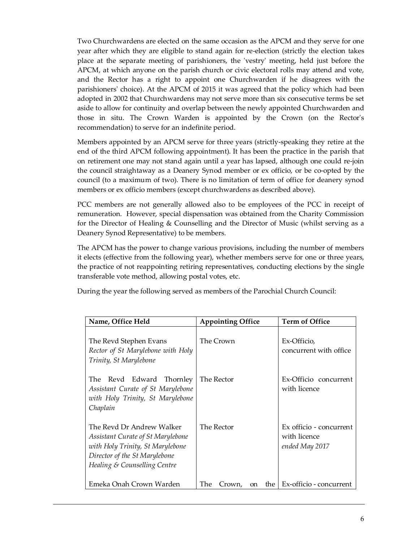Two Churchwardens are elected on the same occasion as the APCM and they serve for one year after which they are eligible to stand again for re-election (strictly the election takes place at the separate meeting of parishioners, the 'vestry' meeting, held just before the APCM, at which anyone on the parish church or civic electoral rolls may attend and vote, and the Rector has a right to appoint one Churchwarden if he disagrees with the parishioners' choice). At the APCM of 2015 it was agreed that the policy which had been adopted in 2002 that Churchwardens may not serve more than six consecutive terms be set aside to allow for continuity and overlap between the newly appointed Churchwarden and those in situ. The Crown Warden is appointed by the Crown (on the Rector's recommendation) to serve for an indefinite period.

Members appointed by an APCM serve for three years (strictly-speaking they retire at the end of the third APCM following appointment). It has been the practice in the parish that on retirement one may not stand again until a year has lapsed, although one could re-join the council straightaway as a Deanery Synod member or ex officio, or be co-opted by the council (to a maximum of two). There is no limitation of term of office for deanery synod members or ex officio members (except churchwardens as described above).

PCC members are not generally allowed also to be employees of the PCC in receipt of remuneration. However, special dispensation was obtained from the Charity Commission for the Director of Healing & Counselling and the Director of Music (whilst serving as a Deanery Synod Representative) to be members.

The APCM has the power to change various provisions, including the number of members it elects (effective from the following year), whether members serve for one or three years, the practice of not reappointing retiring representatives, conducting elections by the single transferable vote method, allowing postal votes, etc.

During the year the following served as members of the Parochial Church Council:

| Name, Office Held                                                                                                                                                   | <b>Appointing Office</b>              | <b>Term of Office</b>                                     |
|---------------------------------------------------------------------------------------------------------------------------------------------------------------------|---------------------------------------|-----------------------------------------------------------|
| The Revd Stephen Evans<br>Rector of St Marylebone with Holy<br>Trinity, St Marylebone                                                                               | The Crown                             | Ex-Officio,<br>concurrent with office                     |
| Revd Edward Thornley<br>The<br>Assistant Curate of St Marylebone<br>with Holy Trinity, St Marylebone<br>Chaplain                                                    | The Rector                            | Ex-Officio concurrent<br>with licence                     |
| The Revd Dr Andrew Walker<br>Assistant Curate of St Marylebone<br>with Holy Trinity, St Marylebone<br>Director of the St Marylebone<br>Healing & Counselling Centre | The Rector                            | Ex officio - concurrent<br>with licence<br>ended May 2017 |
| Emeka Onah Crown Warden                                                                                                                                             | The<br>the<br>Crown,<br><sub>on</sub> | Ex-officio - concurrent                                   |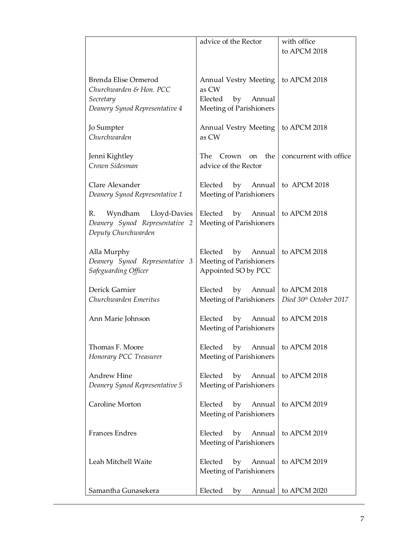|                                                                                        | advice of the Rector                                                   | with office<br>to APCM 2018            |
|----------------------------------------------------------------------------------------|------------------------------------------------------------------------|----------------------------------------|
|                                                                                        |                                                                        |                                        |
| Brenda Elise Ormerod<br>Churchwarden & Hon. PCC                                        | <b>Annual Vestry Meeting</b><br>as CW                                  | to APCM 2018                           |
| Secretary<br>Deanery Synod Representative 4                                            | by Annual<br>Elected<br>Meeting of Parishioners                        |                                        |
| Jo Sumpter                                                                             | <b>Annual Vestry Meeting</b>                                           | to APCM 2018                           |
| Churchwarden                                                                           | as CW                                                                  |                                        |
| Jenni Kightley<br>Crown Sidesman                                                       | The Crown on the<br>advice of the Rector                               | concurrent with office                 |
| Clare Alexander<br>Deanery Synod Representative 1                                      | Elected<br>$by$ Annual<br>Meeting of Parishioners                      | to APCM 2018                           |
| Wyndham<br>Lloyd-Davies<br>R.<br>Deanery Synod Representative 2<br>Deputy Churchwarden | Elected<br>by Annual<br>Meeting of Parishioners                        | to APCM 2018                           |
| Alla Murphy<br>Deanery Synod Representative 3<br>Safeguarding Officer                  | Elected<br>by Annual<br>Meeting of Parishioners<br>Appointed SO by PCC | to APCM 2018                           |
| Derick Garnier<br>Churchwarden Emeritus                                                | Elected<br>by<br>Annual<br>Meeting of Parishioners                     | to APCM 2018<br>Died 30th October 2017 |
| Ann Marie Johnson                                                                      | by Annual<br>Elected<br>Meeting of Parishioners                        | to APCM 2018                           |
| Thomas F. Moore<br>Honorary PCC Treasurer                                              | Elected by Annual<br>Meeting of Parishioners                           | to APCM 2018                           |
| <b>Andrew Hine</b><br>Deanery Synod Representative 5                                   | Elected<br>by Annual<br>Meeting of Parishioners                        | to APCM 2018                           |
| Caroline Morton                                                                        | Elected by Annual<br>Meeting of Parishioners                           | to APCM 2019                           |
| Frances Endres                                                                         | by Annual<br>Elected<br>Meeting of Parishioners                        | to APCM 2019                           |
| Leah Mitchell Waite                                                                    | Elected by Annual<br>Meeting of Parishioners                           | to APCM 2019                           |
| Samantha Gunasekera                                                                    | Elected<br>by<br>Annual                                                | to APCM 2020                           |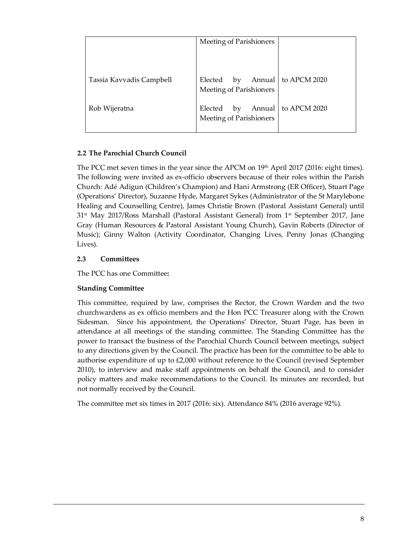|                          | Meeting of Parishioners                            |                |
|--------------------------|----------------------------------------------------|----------------|
|                          |                                                    |                |
| Tassia Kavvadis Campbell | Elected<br>by<br>Annual<br>Meeting of Parishioners | to APCM $2020$ |
| Rob Wijeratna            | by<br>Annual<br>Elected<br>Meeting of Parishioners | to APCM 2020   |

# **2.2 The Parochial Church Council**

The PCC met seven times in the year since the APCM on  $19<sup>th</sup>$  April 2017 (2016: eight times). The following were invited as ex-officio observers because of their roles within the Parish Church: Adé Adigun (Children's Champion) and Hani Armstrong (ER Officer), Stuart Page (Operations' Director), Suzanne Hyde, Margaret Sykes (Administrator of the St Marylebone Healing and Counselling Centre), James Christie Brown (Pastoral Assistant General) until 31<sup>st</sup> May 2017/Ross Marshall (Pastoral Assistant General) from 1<sup>st</sup> September 2017, Jane Gray (Human Resources & Pastoral Assistant Young Church), Gavin Roberts (Director of Music); Ginny Walton (Activity Coordinator, Changing Lives, Penny Jonas (Changing Lives).

# **2.3 Committees**

The PCC has one Committee**:**

# **Standing Committee**

This committee, required by law, comprises the Rector, the Crown Warden and the two churchwardens as ex officio members and the Hon PCC Treasurer along with the Crown Sidesman. Since his appointment, the Operations' Director, Stuart Page, has been in attendance at all meetings of the standing committee. The Standing Committee has the power to transact the business of the Parochial Church Council between meetings, subject to any directions given by the Council. The practice has been for the committee to be able to authorise expenditure of up to £2,000 without reference to the Council (revised September 2010), to interview and make staff appointments on behalf the Council, and to consider policy matters and make recommendations to the Council. Its minutes are recorded, but not normally received by the Council.

The committee met six times in 2017 (2016: six). Attendance 84% (2016 average 92%).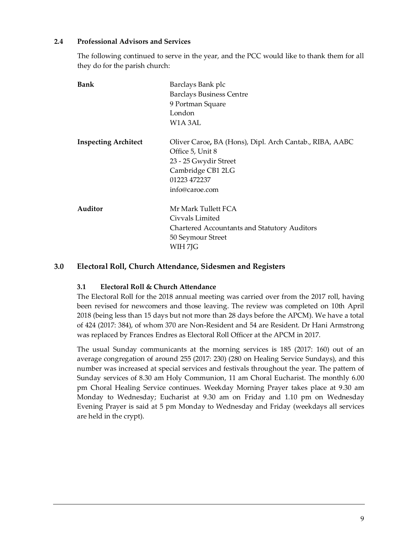# **2.4 Professional Advisors and Services**

The following continued to serve in the year, and the PCC would like to thank them for all they do for the parish church:

| Bank                        | Barclays Bank plc<br><b>Barclays Business Centre</b><br>9 Portman Square<br>London<br>W1A 3AL                                                               |
|-----------------------------|-------------------------------------------------------------------------------------------------------------------------------------------------------------|
| <b>Inspecting Architect</b> | Oliver Caroe, BA (Hons), Dipl. Arch Cantab., RIBA, AABC<br>Office 5, Unit 8<br>23 - 25 Gwydir Street<br>Cambridge CB1 2LG<br>01223 472237<br>info@caroe.com |
| Auditor                     | Mr Mark Tullett FCA<br>Civvals Limited<br>Chartered Accountants and Statutory Auditors<br>50 Seymour Street<br>WIH 7JG                                      |

### **3.0 Electoral Roll, Church Attendance, Sidesmen and Registers**

#### **3.1 Electoral Roll & Church Attendance**

The Electoral Roll for the 2018 annual meeting was carried over from the 2017 roll, having been revised for newcomers and those leaving. The review was completed on 10th April 2018 (being less than 15 days but not more than 28 days before the APCM). We have a total of 424 (2017: 384), of whom 370 are Non-Resident and 54 are Resident. Dr Hani Armstrong was replaced by Frances Endres as Electoral Roll Officer at the APCM in 2017.

The usual Sunday communicants at the morning services is 185 (2017: 160) out of an average congregation of around 255 (2017: 230) (280 on Healing Service Sundays), and this number was increased at special services and festivals throughout the year. The pattern of Sunday services of 8.30 am Holy Communion, 11 am Choral Eucharist. The monthly 6.00 pm Choral Healing Service continues. Weekday Morning Prayer takes place at 9.30 am Monday to Wednesday; Eucharist at 9.30 am on Friday and 1.10 pm on Wednesday Evening Prayer is said at 5 pm Monday to Wednesday and Friday (weekdays all services are held in the crypt).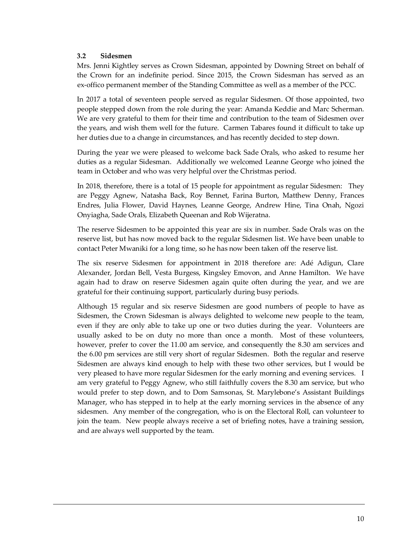### **3.2 Sidesmen**

Mrs. Jenni Kightley serves as Crown Sidesman, appointed by Downing Street on behalf of the Crown for an indefinite period. Since 2015, the Crown Sidesman has served as an ex-offico permanent member of the Standing Committee as well as a member of the PCC.

In 2017 a total of seventeen people served as regular Sidesmen. Of those appointed, two people stepped down from the role during the year: Amanda Keddie and Marc Scherman. We are very grateful to them for their time and contribution to the team of Sidesmen over the years, and wish them well for the future. Carmen Tabares found it difficult to take up her duties due to a change in circumstances, and has recently decided to step down.

During the year we were pleased to welcome back Sade Orals, who asked to resume her duties as a regular Sidesman. Additionally we welcomed Leanne George who joined the team in October and who was very helpful over the Christmas period.

In 2018, therefore, there is a total of 15 people for appointment as regular Sidesmen: They are Peggy Agnew, Natasha Back, Roy Bennet, Farina Burton, Matthew Denny, Frances Endres, Julia Flower, David Haynes, Leanne George, Andrew Hine, Tina Onah, Ngozi Onyiagha, Sade Orals, Elizabeth Queenan and Rob Wijeratna.

The reserve Sidesmen to be appointed this year are six in number. Sade Orals was on the reserve list, but has now moved back to the regular Sidesmen list. We have been unable to contact Peter Mwaniki for a long time, so he has now been taken off the reserve list.

The six reserve Sidesmen for appointment in 2018 therefore are: Adé Adigun, Clare Alexander, Jordan Bell, Vesta Burgess, Kingsley Emovon, and Anne Hamilton. We have again had to draw on reserve Sidesmen again quite often during the year, and we are grateful for their continuing support, particularly during busy periods.

Although 15 regular and six reserve Sidesmen are good numbers of people to have as Sidesmen, the Crown Sidesman is always delighted to welcome new people to the team, even if they are only able to take up one or two duties during the year. Volunteers are usually asked to be on duty no more than once a month. Most of these volunteers, however, prefer to cover the 11.00 am service, and consequently the 8.30 am services and the 6.00 pm services are still very short of regular Sidesmen. Both the regular and reserve Sidesmen are always kind enough to help with these two other services, but I would be very pleased to have more regular Sidesmen for the early morning and evening services. I am very grateful to Peggy Agnew, who still faithfully covers the 8.30 am service, but who would prefer to step down, and to Dom Samsonas, St. Marylebone's Assistant Buildings Manager, who has stepped in to help at the early morning services in the absence of any sidesmen. Any member of the congregation, who is on the Electoral Roll, can volunteer to join the team. New people always receive a set of briefing notes, have a training session, and are always well supported by the team.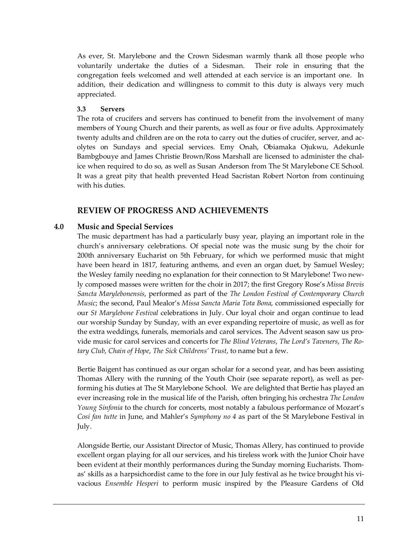As ever, St. Marylebone and the Crown Sidesman warmly thank all those people who voluntarily undertake the duties of a Sidesman. Their role in ensuring that the congregation feels welcomed and well attended at each service is an important one. In addition, their dedication and willingness to commit to this duty is always very much appreciated.

#### **3.3 Servers**

The rota of crucifers and servers has continued to benefit from the involvement of many members of Young Church and their parents, as well as four or five adults. Approximately twenty adults and children are on the rota to carry out the duties of crucifer, server, and acolytes on Sundays and special services. Emy Onah, Obiamaka Ojukwu, Adekunle Bambgbouye and James Christie Brown/Ross Marshall are licensed to administer the chalice when required to do so, as well as Susan Anderson from The St Marylebone CE School. It was a great pity that health prevented Head Sacristan Robert Norton from continuing with his duties.

# **REVIEW OF PROGRESS AND ACHIEVEMENTS**

#### **4.0 Music and Special Services**

The music department has had a particularly busy year, playing an important role in the church's anniversary celebrations. Of special note was the music sung by the choir for 200th anniversary Eucharist on 5th February, for which we performed music that might have been heard in 1817, featuring anthems, and even an organ duet, by Samuel Wesley; the Wesley family needing no explanation for their connection to St Marylebone! Two newly composed masses were written for the choir in 2017; the first Gregory Rose's *Missa Brevis Sancta Marylebonensis*, performed as part of the *The London Festival of Contemporary Church Music*; the second, Paul Mealor's *Missa Sancta Maria Tota Bona*, commissioned especially for our *St Marylebone Festival* celebrations in July. Our loyal choir and organ continue to lead our worship Sunday by Sunday, with an ever expanding repertoire of music, as well as for the extra weddings, funerals, memorials and carol services. The Advent season saw us provide music for carol services and concerts for *The Blind Veterans*, *The Lord's Taveners*, *The Rotary Club*, *Chain of Hope*, *The Sick Childrens' Trust*, to name but a few.

Bertie Baigent has continued as our organ scholar for a second year, and has been assisting Thomas Allery with the running of the Youth Choir (see separate report), as well as performing his duties at The St Marylebone School. We are delighted that Bertie has played an ever increasing role in the musical life of the Parish, often bringing his orchestra *The London Young Sinfonia* to the church for concerts, most notably a fabulous performance of Mozart's *Cosí fan tutte* in June, and Mahler's *Symphony no 4* as part of the St Marylebone Festival in July.

Alongside Bertie, our Assistant Director of Music, Thomas Allery, has continued to provide excellent organ playing for all our services, and his tireless work with the Junior Choir have been evident at their monthly performances during the Sunday morning Eucharists. Thomas' skills as a harpsichordist came to the fore in our July festival as he twice brought his vivacious *Ensemble Hesperi* to perform music inspired by the Pleasure Gardens of Old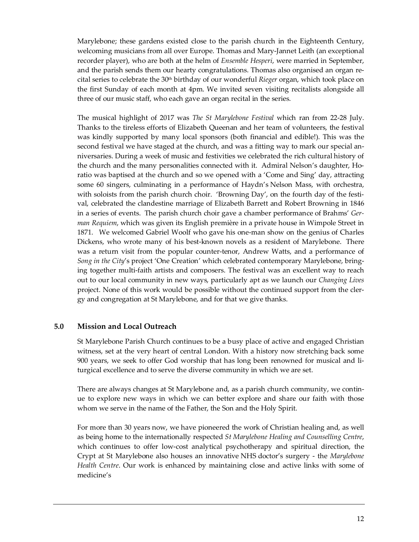Marylebone; these gardens existed close to the parish church in the Eighteenth Century, welcoming musicians from all over Europe. Thomas and Mary-Jannet Leith (an exceptional recorder player), who are both at the helm of *Ensemble Hesperi*, were married in September, and the parish sends them our hearty congratulations. Thomas also organised an organ recital series to celebrate the 30th birthday of our wonderful *Rieger* organ, which took place on the first Sunday of each month at 4pm. We invited seven visiting recitalists alongside all three of our music staff, who each gave an organ recital in the series.

The musical highlight of 2017 was *The St Marylebone Festival* which ran from 22-28 July. Thanks to the tireless efforts of Elizabeth Queenan and her team of volunteers, the festival was kindly supported by many local sponsors (both financial and edible!). This was the second festival we have staged at the church, and was a fitting way to mark our special anniversaries. During a week of music and festivities we celebrated the rich cultural history of the church and the many personalities connected with it. Admiral Nelson's daughter, Horatio was baptised at the church and so we opened with a 'Come and Sing' day, attracting some 60 singers, culminating in a performance of Haydn's Nelson Mass, with orchestra, with soloists from the parish church choir. 'Browning Day', on the fourth day of the festival, celebrated the clandestine marriage of Elizabeth Barrett and Robert Browning in 1846 in a series of events. The parish church choir gave a chamber performance of Brahms' *German Requiem*, which was given its English première in a private house in Wimpole Street in 1871. We welcomed Gabriel Woolf who gave his one-man show on the genius of Charles Dickens, who wrote many of his best-known novels as a resident of Marylebone. There was a return visit from the popular counter-tenor, Andrew Watts, and a performance of *Song in the City*'s project 'One Creation' which celebrated contemporary Marylebone, bringing together multi-faith artists and composers. The festival was an excellent way to reach out to our local community in new ways, particularly apt as we launch our *Changing Lives*  project. None of this work would be possible without the continued support from the clergy and congregation at St Marylebone, and for that we give thanks.

# **5.0 Mission and Local Outreach**

St Marylebone Parish Church continues to be a busy place of active and engaged Christian witness, set at the very heart of central London. With a history now stretching back some 900 years, we seek to offer God worship that has long been renowned for musical and liturgical excellence and to serve the diverse community in which we are set.

There are always changes at St Marylebone and, as a parish church community, we continue to explore new ways in which we can better explore and share our faith with those whom we serve in the name of the Father, the Son and the Holy Spirit.

For more than 30 years now, we have pioneered the work of Christian healing and, as well as being home to the internationally respected *St Marylebone Healing and Counselling Centre*, which continues to offer low-cost analytical psychotherapy and spiritual direction, the Crypt at St Marylebone also houses an innovative NHS doctor's surgery - the *Marylebone Health Centre*. Our work is enhanced by maintaining close and active links with some of medicine's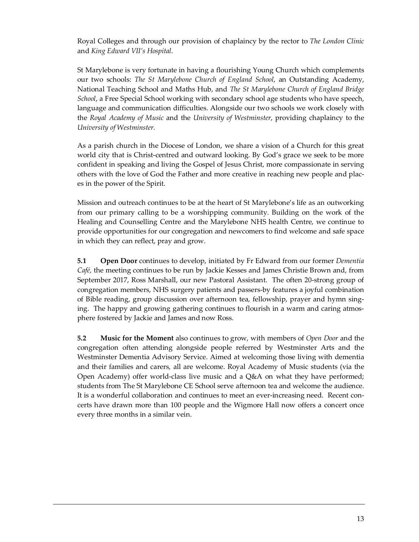Royal Colleges and through our provision of chaplaincy by the rector to *The London Clinic* and *King Edward VII's Hospital*.

St Marylebone is very fortunate in having a flourishing Young Church which complements our two schools: *The St Marylebone Church of England School*, an Outstanding Academy, National Teaching School and Maths Hub, and *The St Marylebone Church of England Bridge School*, a Free Special School working with secondary school age students who have speech, language and communication difficulties. Alongside our two schools we work closely with the *Royal Academy of Music* and the *University of Westminster*, providing chaplaincy to the *University of Westminster.* 

As a parish church in the Diocese of London, we share a vision of a Church for this great world city that is Christ-centred and outward looking. By God's grace we seek to be more confident in speaking and living the Gospel of Jesus Christ, more compassionate in serving others with the love of God the Father and more creative in reaching new people and places in the power of the Spirit.

Mission and outreach continues to be at the heart of St Marylebone's life as an outworking from our primary calling to be a worshipping community. Building on the work of the Healing and Counselling Centre and the Marylebone NHS health Centre, we continue to provide opportunities for our congregation and newcomers to find welcome and safe space in which they can reflect, pray and grow.

**5.1 Open Door** continues to develop, initiated by Fr Edward from our former *Dementia Café,* the meeting continues to be run by Jackie Kesses and James Christie Brown and, from September 2017, Ross Marshall, our new Pastoral Assistant. The often 20-strong group of congregation members, NHS surgery patients and passers-by features a joyful combination of Bible reading, group discussion over afternoon tea, fellowship, prayer and hymn singing. The happy and growing gathering continues to flourish in a warm and caring atmosphere fostered by Jackie and James and now Ross.

**5.2 Music for the Moment** also continues to grow, with members of *Open Door* and the congregation often attending alongside people referred by Westminster Arts and the Westminster Dementia Advisory Service. Aimed at welcoming those living with dementia and their families and carers, all are welcome. Royal Academy of Music students (via the Open Academy) offer world-class live music and a Q&A on what they have performed; students from The St Marylebone CE School serve afternoon tea and welcome the audience. It is a wonderful collaboration and continues to meet an ever-increasing need. Recent concerts have drawn more than 100 people and the Wigmore Hall now offers a concert once every three months in a similar vein.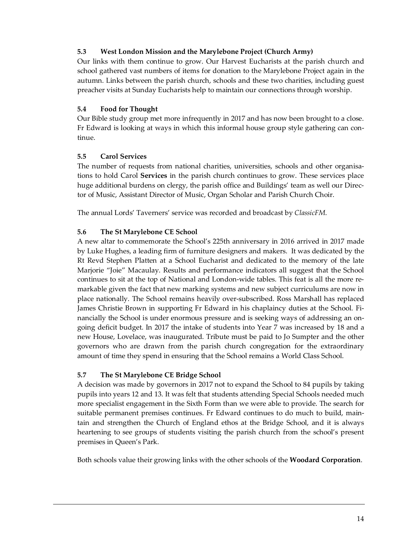# **5.3 West London Mission and the Marylebone Project (Church Army)**

Our links with them continue to grow. Our Harvest Eucharists at the parish church and school gathered vast numbers of items for donation to the Marylebone Project again in the autumn. Links between the parish church, schools and these two charities, including guest preacher visits at Sunday Eucharists help to maintain our connections through worship.

# **5.4 Food for Thought**

Our Bible study group met more infrequently in 2017 and has now been brought to a close. Fr Edward is looking at ways in which this informal house group style gathering can continue.

# **5.5 Carol Services**

The number of requests from national charities, universities, schools and other organisations to hold Carol **Services** in the parish church continues to grow. These services place huge additional burdens on clergy, the parish office and Buildings' team as well our Director of Music, Assistant Director of Music, Organ Scholar and Parish Church Choir.

The annual Lords' Taverners' service was recorded and broadcast by *ClassicFM*.

# **5.6 The St Marylebone CE School**

A new altar to commemorate the School's 225th anniversary in 2016 arrived in 2017 made by Luke Hughes, a leading firm of furniture designers and makers. It was dedicated by the Rt Revd Stephen Platten at a School Eucharist and dedicated to the memory of the late Marjorie "Joie" Macaulay. Results and performance indicators all suggest that the School continues to sit at the top of National and London-wide tables. This feat is all the more remarkable given the fact that new marking systems and new subject curriculums are now in place nationally. The School remains heavily over-subscribed. Ross Marshall has replaced James Christie Brown in supporting Fr Edward in his chaplaincy duties at the School. Financially the School is under enormous pressure and is seeking ways of addressing an ongoing deficit budget. In 2017 the intake of students into Year 7 was increased by 18 and a new House, Lovelace, was inaugurated. Tribute must be paid to Jo Sumpter and the other governors who are drawn from the parish church congregation for the extraordinary amount of time they spend in ensuring that the School remains a World Class School.

# **5.7 The St Marylebone CE Bridge School**

A decision was made by governors in 2017 not to expand the School to 84 pupils by taking pupils into years 12 and 13. It was felt that students attending Special Schools needed much more specialist engagement in the Sixth Form than we were able to provide. The search for suitable permanent premises continues. Fr Edward continues to do much to build, maintain and strengthen the Church of England ethos at the Bridge School, and it is always heartening to see groups of students visiting the parish church from the school's present premises in Queen's Park.

Both schools value their growing links with the other schools of the **Woodard Corporation**.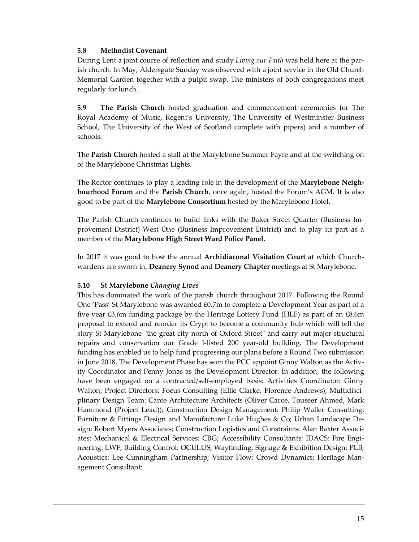# **5.8 Methodist Covenant**

During Lent a joint course of reflection and study *Living our Faith* was held here at the parish church. In May, Aldersgate Sunday was observed with a joint service in the Old Church Memorial Garden together with a pulpit swap. The ministers of both congregations meet regularly for lunch.

**5.9 The Parish Church** hosted graduation and commencement ceremonies for The Royal Academy of Music, Regent's University, The University of Westminster Business School, The University of the West of Scotland complete with pipers) and a number of schools.

The **Parish Church** hosted a stall at the Marylebone Summer Fayre and at the switching on of the Marylebone Christmas Lights.

The Rector continues to play a leading role in the development of the **Marylebone Neighbourhood Forum** and the **Parish Church**, once again, hosted the Forum's AGM. It is also good to be part of the **Marylebone Consortium** hosted by the Marylebone Hotel.

The Parish Church continues to build links with the Baker Street Quarter (Business Improvement District) West One (Business Improvement District) and to play its part as a member of the **Marylebone High Street Ward Police Panel**.

In 2017 it was good to host the annual **Archidiaconal Visitation Court** at which Churchwardens are sworn in, **Deanery Synod** and **Deanery Chapter** meetings at St Marylebone.

# **5.10 St Marylebone** *Changing Lives*

This has dominated the work of the parish church throughout 2017. Following the Round One 'Pass' St Marylebone was awarded £0.7m to complete a Development Year as part of a five year £3.6m funding package by the Heritage Lottery Fund (HLF) as part of an £8.6m proposal to extend and reorder its Crypt to become a community hub which will tell the story St Marylebone "the great city north of Oxford Street" and carry out major structural repairs and conservation our Grade I-listed 200 year-old building. The Development funding has enabled us to help fund progressing our plans before a Round Two submission in June 2018. The Development Phase has seen the PCC appoint Ginny Walton as the Activity Coordinator and Penny Jonas as the Development Director. In addition, the following have been engaged on a contracted/self-employed basis: Activities Coordinator: Ginny Walton; Project Directors: Focus Consulting (Ellie Clarke, Florence Andrews); Multidisciplinary Design Team: Caroe Architecture Architects (Oliver Caroe, Touseer Ahmed, Mark Hammond (Project Lead)); Construction Design Management: Philip Waller Consulting; Furniture & Fittings Design and Manufacture: Luke Hughes & Co; Urban Landscape Design: Robert Myers Associates; Construction Logistics and Constraints: Alan Baxter Associates; Mechanical & Electrical Services: CBG; Accessibility Consultants: IDACS: Fire Engineering: LWF; Building Control: OCULUS; Wayfinding, Signage & Exhibition Design: PLB; Acoustics: Lee Cunningham Partnership; Visitor Flow: Crowd Dynamics; Heritage Management Consultant: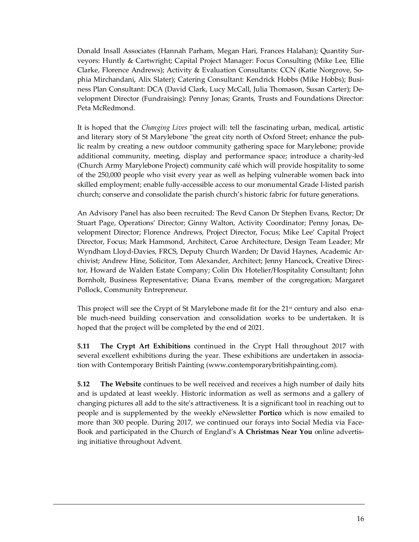Donald Insall Associates (Hannah Parham, Megan Hari, Frances Halahan); Quantity Surveyors: Huntly & Cartwright; Capital Project Manager: Focus Consulting (Mike Lee, Ellie Clarke, Florence Andrews); Activity & Evaluation Consultants: CCN (Katie Norgrove, Sophia Mirchandani, Alix Slater); Catering Consultant: Kendrick Hobbs (Mike Hobbs); Business Plan Consultant: DCA (David Clark, Lucy McCall, Julia Thomason, Susan Carter); Development Director (Fundraising): Penny Jonas; Grants, Trusts and Foundations Director: Peta McRedmond.

It is hoped that the *Changing Lives* project will: tell the fascinating urban, medical, artistic and literary story of St Marylebone "the great city north of Oxford Street; enhance the public realm by creating a new outdoor community gathering space for Marylebone; provide additional community, meeting, display and performance space; introduce a charity-led (Church Army Marylebone Project) community café which will provide hospitality to some of the 250,000 people who visit every year as well as helping vulnerable women back into skilled employment; enable fully-accessible access to our monumental Grade I-listed parish church; conserve and consolidate the parish church's historic fabric for future generations.

An Advisory Panel has also been recruited: The Revd Canon Dr Stephen Evans, Rector; Dr Stuart Page, Operations' Director; Ginny Walton, Activity Coordinator; Penny Jonas, Development Director; Florence Andrews, Project Director, Focus; Mike Lee' Capital Project Director, Focus; Mark Hammond, Architect, Caroe Architecture, Design Team Leader; Mr Wyndham Lloyd-Davies, FRCS, Deputy Church Warden; Dr David Haynes, Academic Archivist; Andrew Hine, Solicitor, Tom Alexander, Architect; Jenny Hancock, Creative Director, Howard de Walden Estate Company; Colin Dix Hotelier/Hospitality Consultant; John Bornholt, Business Representative; Diana Evans, member of the congregation; Margaret Pollock, Community Entrepreneur.

This project will see the Crypt of St Marylebone made fit for the 21<sup>st</sup> century and also enable much-need building conservation and consolidation works to be undertaken. It is hoped that the project will be completed by the end of 2021.

**5.11 The Crypt Art Exhibitions** continued in the Crypt Hall throughout 2017 with several excellent exhibitions during the year. These exhibitions are undertaken in association with Contemporary British Painting (www.contemporarybritishpainting.com).

**5.12 The Website** continues to be well received and receives a high number of daily hits and is updated at least weekly. Historic information as well as sermons and a gallery of changing pictures all add to the site's attractiveness. It is a significant tool in reaching out to people and is supplemented by the weekly eNewsletter **Portico** which is now emailed to more than 300 people. During 2017, we continued our forays into Social Media via Face-Book and participated in the Church of England's **A Christmas Near You** online advertising initiative throughout Advent.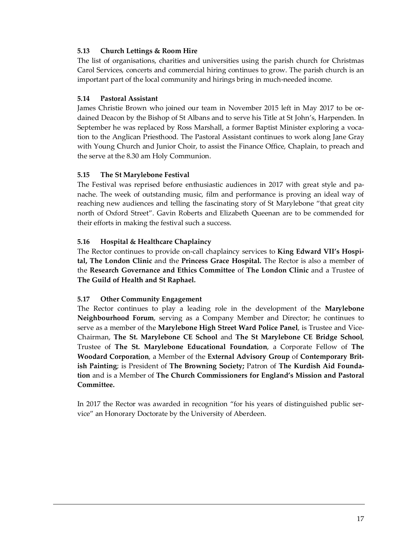# **5.13 Church Lettings & Room Hire**

The list of organisations, charities and universities using the parish church for Christmas Carol Services, concerts and commercial hiring continues to grow. The parish church is an important part of the local community and hirings bring in much-needed income.

### **5.14 Pastoral Assistant**

James Christie Brown who joined our team in November 2015 left in May 2017 to be ordained Deacon by the Bishop of St Albans and to serve his Title at St John's, Harpenden. In September he was replaced by Ross Marshall, a former Baptist Minister exploring a vocation to the Anglican Priesthood. The Pastoral Assistant continues to work along Jane Gray with Young Church and Junior Choir, to assist the Finance Office, Chaplain, to preach and the serve at the 8.30 am Holy Communion.

# **5.15 The St Marylebone Festival**

The Festival was reprised before enthusiastic audiences in 2017 with great style and panache. The week of outstanding music, film and performance is proving an ideal way of reaching new audiences and telling the fascinating story of St Marylebone "that great city north of Oxford Street". Gavin Roberts and Elizabeth Queenan are to be commended for their efforts in making the festival such a success.

### **5.16 Hospital & Healthcare Chaplaincy**

The Rector continues to provide on-call chaplaincy services to **King Edward VII's Hospital, The London Clinic** and the **Princess Grace Hospital.** The Rector is also a member of the **Research Governance and Ethics Committee** of **The London Clinic** and a Trustee of **The Guild of Health and St Raphael.**

# **5.17 Other Community Engagement**

The Rector continues to play a leading role in the development of the **Marylebone Neighbourhood Forum**, serving as a Company Member and Director; he continues to serve as a member of the **Marylebone High Street Ward Police Panel**, is Trustee and Vice-Chairman, **The St. Marylebone CE School** and **The St Marylebone CE Bridge School**, Trustee of **The St. Marylebone Educational Foundation**, a Corporate Fellow of **The Woodard Corporation**, a Member of the **External Advisory Group** of **Contemporary British Painting**; is President of **The Browning Society;** Patron of **The Kurdish Aid Foundation** and is a Member of **The Church Commissioners for England's Mission and Pastoral Committee.** 

In 2017 the Rector was awarded in recognition "for his years of distinguished public service" an Honorary Doctorate by the University of Aberdeen.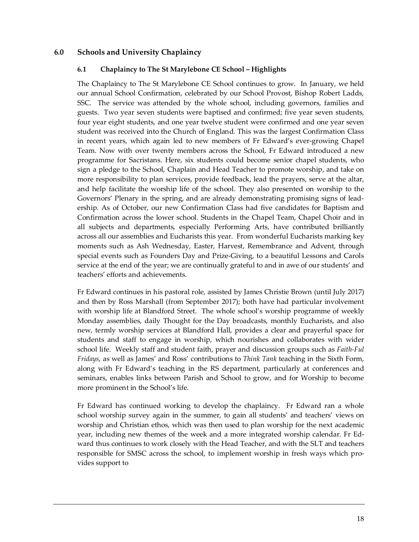# **6.0 Schools and University Chaplaincy**

#### **6.1 Chaplaincy to The St Marylebone CE School – Highlights**

The Chaplaincy to The St Marylebone CE School continues to grow. In January, we held our annual School Confirmation, celebrated by our School Provost, Bishop Robert Ladds, SSC. The service was attended by the whole school, including governors, families and guests. Two year seven students were baptised and confirmed; five year seven students, four year eight students, and one year twelve student were confirmed and one year seven student was received into the Church of England. This was the largest Confirmation Class in recent years, which again led to new members of Fr Edward's ever-growing Chapel Team. Now with over twenty members across the School, Fr Edward introduced a new programme for Sacristans. Here, six students could become senior chapel students, who sign a pledge to the School, Chaplain and Head Teacher to promote worship, and take on more responsibility to plan services, provide feedback, lead the prayers, serve at the altar, and help facilitate the worship life of the school. They also presented on worship to the Governors' Plenary in the spring, and are already demonstrating promising signs of leadership. As of October, our new Confirmation Class had five candidates for Baptism and Confirmation across the lower school. Students in the Chapel Team, Chapel Choir and in all subjects and departments, especially Performing Arts, have contributed brilliantly across all our assemblies and Eucharists this year. From wonderful Eucharists marking key moments such as Ash Wednesday, Easter, Harvest, Remembrance and Advent, through special events such as Founders Day and Prize-Giving, to a beautiful Lessons and Carols service at the end of the year; we are continually grateful to and in awe of our students' and teachers' efforts and achievements.

Fr Edward continues in his pastoral role, assisted by James Christie Brown (until July 2017) and then by Ross Marshall (from September 2017); both have had particular involvement with worship life at Blandford Street. The whole school's worship programme of weekly Monday assemblies, daily Thought for the Day broadcasts, monthly Eucharists, and also new, termly worship services at Blandford Hall, provides a clear and prayerful space for students and staff to engage in worship, which nourishes and collaborates with wider school life. Weekly staff and student faith, prayer and discussion groups such as *Faith-Ful Fridays*, as well as James' and Ross' contributions to *Think Tank* teaching in the Sixth Form, along with Fr Edward's teaching in the RS department, particularly at conferences and seminars, enables links between Parish and School to grow, and for Worship to become more prominent in the School's life.

Fr Edward has continued working to develop the chaplaincy. Fr Edward ran a whole school worship survey again in the summer, to gain all students' and teachers' views on worship and Christian ethos, which was then used to plan worship for the next academic year, including new themes of the week and a more integrated worship calendar. Fr Edward thus continues to work closely with the Head Teacher, and with the SLT and teachers responsible for SMSC across the school, to implement worship in fresh ways which provides support to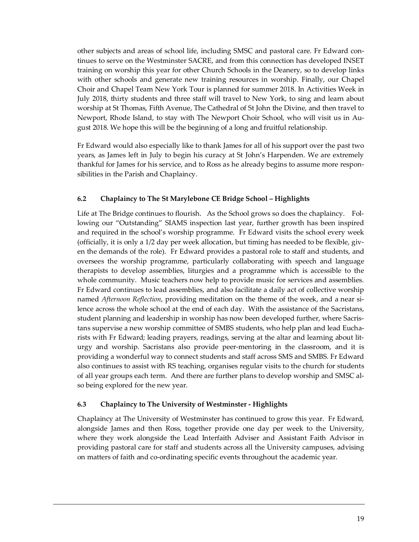other subjects and areas of school life, including SMSC and pastoral care. Fr Edward continues to serve on the Westminster SACRE, and from this connection has developed INSET training on worship this year for other Church Schools in the Deanery, so to develop links with other schools and generate new training resources in worship. Finally, our Chapel Choir and Chapel Team New York Tour is planned for summer 2018. In Activities Week in July 2018, thirty students and three staff will travel to New York, to sing and learn about worship at St Thomas, Fifth Avenue, The Cathedral of St John the Divine, and then travel to Newport, Rhode Island, to stay with The Newport Choir School, who will visit us in August 2018. We hope this will be the beginning of a long and fruitful relationship.

Fr Edward would also especially like to thank James for all of his support over the past two years, as James left in July to begin his curacy at St John's Harpenden. We are extremely thankful for James for his service, and to Ross as he already begins to assume more responsibilities in the Parish and Chaplaincy.

# **6.2 Chaplaincy to The St Marylebone CE Bridge School – Highlights**

Life at The Bridge continues to flourish. As the School grows so does the chaplaincy. Following our "Outstanding" SIAMS inspection last year, further growth has been inspired and required in the school's worship programme. Fr Edward visits the school every week (officially, it is only a 1/2 day per week allocation, but timing has needed to be flexible, given the demands of the role). Fr Edward provides a pastoral role to staff and students, and oversees the worship programme, particularly collaborating with speech and language therapists to develop assemblies, liturgies and a programme which is accessible to the whole community. Music teachers now help to provide music for services and assemblies. Fr Edward continues to lead assemblies, and also facilitate a daily act of collective worship named *Afternoon Reflection*, providing meditation on the theme of the week, and a near silence across the whole school at the end of each day. With the assistance of the Sacristans, student planning and leadership in worship has now been developed further, where Sacristans supervise a new worship committee of SMBS students, who help plan and lead Eucharists with Fr Edward; leading prayers, readings, serving at the altar and learning about liturgy and worship. Sacristans also provide peer-mentoring in the classroom, and it is providing a wonderful way to connect students and staff across SMS and SMBS. Fr Edward also continues to assist with RS teaching, organises regular visits to the church for students of all year groups each term. And there are further plans to develop worship and SMSC also being explored for the new year.

#### **6.3 Chaplaincy to The University of Westminster - Highlights**

Chaplaincy at The University of Westminster has continued to grow this year. Fr Edward, alongside James and then Ross, together provide one day per week to the University, where they work alongside the Lead Interfaith Adviser and Assistant Faith Advisor in providing pastoral care for staff and students across all the University campuses, advising on matters of faith and co-ordinating specific events throughout the academic year.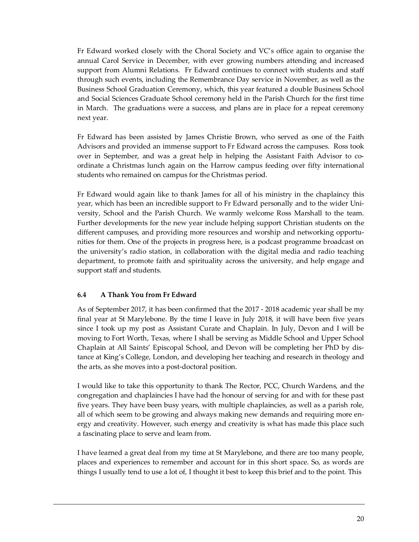Fr Edward worked closely with the Choral Society and VC's office again to organise the annual Carol Service in December, with ever growing numbers attending and increased support from Alumni Relations. Fr Edward continues to connect with students and staff through such events, including the Remembrance Day service in November, as well as the Business School Graduation Ceremony, which, this year featured a double Business School and Social Sciences Graduate School ceremony held in the Parish Church for the first time in March. The graduations were a success, and plans are in place for a repeat ceremony next year.

Fr Edward has been assisted by James Christie Brown, who served as one of the Faith Advisors and provided an immense support to Fr Edward across the campuses. Ross took over in September, and was a great help in helping the Assistant Faith Advisor to coordinate a Christmas lunch again on the Harrow campus feeding over fifty international students who remained on campus for the Christmas period.

Fr Edward would again like to thank James for all of his ministry in the chaplaincy this year, which has been an incredible support to Fr Edward personally and to the wider University, School and the Parish Church. We warmly welcome Ross Marshall to the team. Further developments for the new year include helping support Christian students on the different campuses, and providing more resources and worship and networking opportunities for them. One of the projects in progress here, is a podcast programme broadcast on the university's radio station, in collaboration with the digital media and radio teaching department, to promote faith and spirituality across the university, and help engage and support staff and students.

# **6.4 A Thank You from Fr Edward**

As of September 2017, it has been confirmed that the 2017 - 2018 academic year shall be my final year at St Marylebone. By the time I leave in July 2018, it will have been five years since I took up my post as Assistant Curate and Chaplain. In July, Devon and I will be moving to Fort Worth, Texas, where I shall be serving as Middle School and Upper School Chaplain at All Saints' Episcopal School, and Devon will be completing her PhD by distance at King's College, London, and developing her teaching and research in theology and the arts, as she moves into a post-doctoral position.

I would like to take this opportunity to thank The Rector, PCC, Church Wardens, and the congregation and chaplaincies I have had the honour of serving for and with for these past five years. They have been busy years, with multiple chaplaincies, as well as a parish role, all of which seem to be growing and always making new demands and requiring more energy and creativity. However, such energy and creativity is what has made this place such a fascinating place to serve and learn from.

I have learned a great deal from my time at St Marylebone, and there are too many people, places and experiences to remember and account for in this short space. So, as words are things I usually tend to use a lot of, I thought it best to keep this brief and to the point. This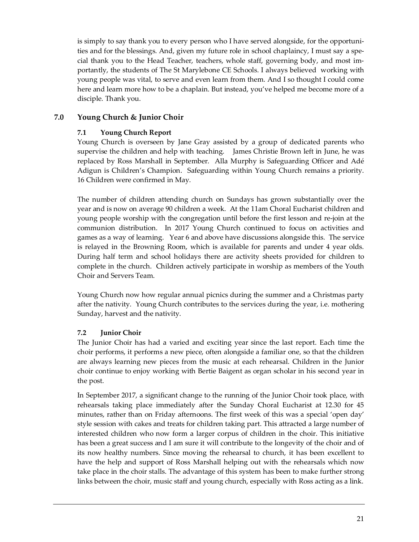is simply to say thank you to every person who I have served alongside, for the opportunities and for the blessings. And, given my future role in school chaplaincy, I must say a special thank you to the Head Teacher, teachers, whole staff, governing body, and most importantly, the students of The St Marylebone CE Schools. I always believed working with young people was vital, to serve and even learn from them. And I so thought I could come here and learn more how to be a chaplain. But instead, you've helped me become more of a disciple. Thank you.

# **7.0 Young Church & Junior Choir**

# **7.1 Young Church Report**

Young Church is overseen by Jane Gray assisted by a group of dedicated parents who supervise the children and help with teaching. James Christie Brown left in June, he was replaced by Ross Marshall in September. Alla Murphy is Safeguarding Officer and Adé Adigun is Children's Champion. Safeguarding within Young Church remains a priority. 16 Children were confirmed in May.

The number of children attending church on Sundays has grown substantially over the year and is now on average 90 children a week. At the 11am Choral Eucharist children and young people worship with the congregation until before the first lesson and re-join at the communion distribution. In 2017 Young Church continued to focus on activities and games as a way of learning. Year 6 and above have discussions alongside this. The service is relayed in the Browning Room, which is available for parents and under 4 year olds. During half term and school holidays there are activity sheets provided for children to complete in the church. Children actively participate in worship as members of the Youth Choir and Servers Team.

Young Church now how regular annual picnics during the summer and a Christmas party after the nativity. Young Church contributes to the services during the year, i.e. mothering Sunday, harvest and the nativity.

# **7.2 Junior Choir**

The Junior Choir has had a varied and exciting year since the last report. Each time the choir performs, it performs a new piece, often alongside a familiar one, so that the children are always learning new pieces from the music at each rehearsal. Children in the Junior choir continue to enjoy working with Bertie Baigent as organ scholar in his second year in the post.

In September 2017, a significant change to the running of the Junior Choir took place, with rehearsals taking place immediately after the Sunday Choral Eucharist at 12.30 for 45 minutes, rather than on Friday afternoons. The first week of this was a special 'open day' style session with cakes and treats for children taking part. This attracted a large number of interested children who now form a larger corpus of children in the choir. This initiative has been a great success and I am sure it will contribute to the longevity of the choir and of its now healthy numbers. Since moving the rehearsal to church, it has been excellent to have the help and support of Ross Marshall helping out with the rehearsals which now take place in the choir stalls. The advantage of this system has been to make further strong links between the choir, music staff and young church, especially with Ross acting as a link.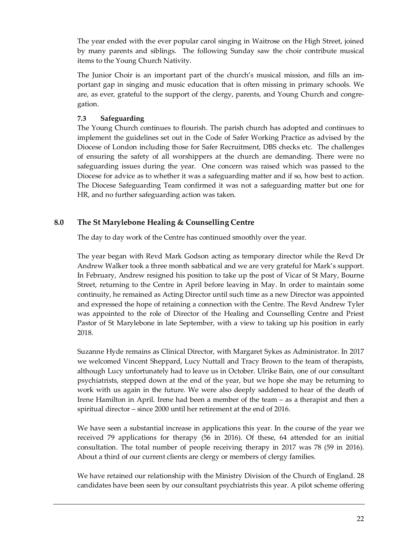The year ended with the ever popular carol singing in Waitrose on the High Street, joined by many parents and siblings. The following Sunday saw the choir contribute musical items to the Young Church Nativity.

The Junior Choir is an important part of the church's musical mission, and fills an important gap in singing and music education that is often missing in primary schools. We are, as ever, grateful to the support of the clergy, parents, and Young Church and congregation.

# **7.3 Safeguarding**

The Young Church continues to flourish. The parish church has adopted and continues to implement the guidelines set out in the Code of Safer Working Practice as advised by the Diocese of London including those for Safer Recruitment, DBS checks etc. The challenges of ensuring the safety of all worshippers at the church are demanding. There were no safeguarding issues during the year. One concern was raised which was passed to the Diocese for advice as to whether it was a safeguarding matter and if so, how best to action. The Diocese Safeguarding Team confirmed it was not a safeguarding matter but one for HR, and no further safeguarding action was taken.

# **8.0 The St Marylebone Healing & Counselling Centre**

The day to day work of the Centre has continued smoothly over the year.

The year began with Revd Mark Godson acting as temporary director while the Revd Dr Andrew Walker took a three month sabbatical and we are very grateful for Mark's support. In February, Andrew resigned his position to take up the post of Vicar of St Mary, Bourne Street, returning to the Centre in April before leaving in May. In order to maintain some continuity, he remained as Acting Director until such time as a new Director was appointed and expressed the hope of retaining a connection with the Centre. The Revd Andrew Tyler was appointed to the role of Director of the Healing and Counselling Centre and Priest Pastor of St Marylebone in late September, with a view to taking up his position in early 2018.

Suzanne Hyde remains as Clinical Director, with Margaret Sykes as Administrator. In 2017 we welcomed Vincent Sheppard, Lucy Nuttall and Tracy Brown to the team of therapists, although Lucy unfortunately had to leave us in October. Ulrike Bain, one of our consultant psychiatrists, stepped down at the end of the year, but we hope she may be returning to work with us again in the future. We were also deeply saddened to hear of the death of Irene Hamilton in April. Irene had been a member of the team – as a therapist and then a spiritual director – since 2000 until her retirement at the end of 2016.

We have seen a substantial increase in applications this year. In the course of the year we received 79 applications for therapy (56 in 2016). Of these, 64 attended for an initial consultation. The total number of people receiving therapy in 2017 was 78 (59 in 2016). About a third of our current clients are clergy or members of clergy families.

We have retained our relationship with the Ministry Division of the Church of England. 28 candidates have been seen by our consultant psychiatrists this year. A pilot scheme offering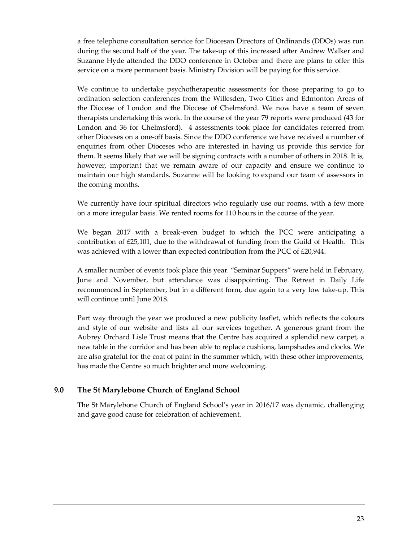a free telephone consultation service for Diocesan Directors of Ordinands (DDOs) was run during the second half of the year. The take-up of this increased after Andrew Walker and Suzanne Hyde attended the DDO conference in October and there are plans to offer this service on a more permanent basis. Ministry Division will be paying for this service.

We continue to undertake psychotherapeutic assessments for those preparing to go to ordination selection conferences from the Willesden, Two Cities and Edmonton Areas of the Diocese of London and the Diocese of Chelmsford. We now have a team of seven therapists undertaking this work. In the course of the year 79 reports were produced (43 for London and 36 for Chelmsford). 4 assessments took place for candidates referred from other Dioceses on a one-off basis. Since the DDO conference we have received a number of enquiries from other Dioceses who are interested in having us provide this service for them. It seems likely that we will be signing contracts with a number of others in 2018. It is, however, important that we remain aware of our capacity and ensure we continue to maintain our high standards. Suzanne will be looking to expand our team of assessors in the coming months.

We currently have four spiritual directors who regularly use our rooms, with a few more on a more irregular basis. We rented rooms for 110 hours in the course of the year.

We began 2017 with a break-even budget to which the PCC were anticipating a contribution of £25,101, due to the withdrawal of funding from the Guild of Health. This was achieved with a lower than expected contribution from the PCC of £20,944.

A smaller number of events took place this year. "Seminar Suppers" were held in February, June and November, but attendance was disappointing. The Retreat in Daily Life recommenced in September, but in a different form, due again to a very low take-up. This will continue until June 2018.

Part way through the year we produced a new publicity leaflet, which reflects the colours and style of our website and lists all our services together. A generous grant from the Aubrey Orchard Lisle Trust means that the Centre has acquired a splendid new carpet, a new table in the corridor and has been able to replace cushions, lampshades and clocks. We are also grateful for the coat of paint in the summer which, with these other improvements, has made the Centre so much brighter and more welcoming.

# **9.0 The St Marylebone Church of England School**

The St Marylebone Church of England School's year in 2016/17 was dynamic, challenging and gave good cause for celebration of achievement.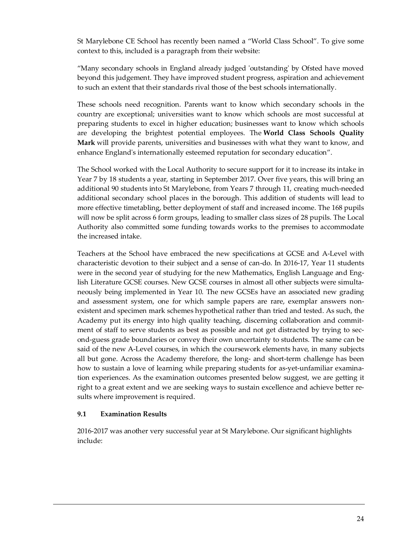St Marylebone CE School has recently been named a "World Class School". To give some context to this, included is a paragraph from their website:

"Many secondary schools in England already judged 'outstanding' by Ofsted have moved beyond this judgement. They have improved student progress, aspiration and achievement to such an extent that their standards rival those of the best schools internationally.

These schools need recognition. Parents want to know which secondary schools in the country are exceptional; universities want to know which schools are most successful at preparing students to excel in higher education; businesses want to know which schools are developing the brightest potential employees. The **World Class Schools Quality Mark** will provide parents, universities and businesses with what they want to know, and enhance England's internationally esteemed reputation for secondary education".

The School worked with the Local Authority to secure support for it to increase its intake in Year 7 by 18 students a year, starting in September 2017. Over five years, this will bring an additional 90 students into St Marylebone, from Years 7 through 11, creating much-needed additional secondary school places in the borough. This addition of students will lead to more effective timetabling, better deployment of staff and increased income. The 168 pupils will now be split across 6 form groups, leading to smaller class sizes of 28 pupils. The Local Authority also committed some funding towards works to the premises to accommodate the increased intake.

Teachers at the School have embraced the new specifications at GCSE and A-Level with characteristic devotion to their subject and a sense of can-do. In 2016-17, Year 11 students were in the second year of studying for the new Mathematics, English Language and English Literature GCSE courses. New GCSE courses in almost all other subjects were simultaneously being implemented in Year 10. The new GCSEs have an associated new grading and assessment system, one for which sample papers are rare, exemplar answers nonexistent and specimen mark schemes hypothetical rather than tried and tested. As such, the Academy put its energy into high quality teaching, discerning collaboration and commitment of staff to serve students as best as possible and not get distracted by trying to second-guess grade boundaries or convey their own uncertainty to students. The same can be said of the new A-Level courses, in which the coursework elements have, in many subjects all but gone. Across the Academy therefore, the long- and short-term challenge has been how to sustain a love of learning while preparing students for as-yet-unfamiliar examination experiences. As the examination outcomes presented below suggest, we are getting it right to a great extent and we are seeking ways to sustain excellence and achieve better results where improvement is required.

# **9.1 Examination Results**

2016-2017 was another very successful year at St Marylebone. Our significant highlights include: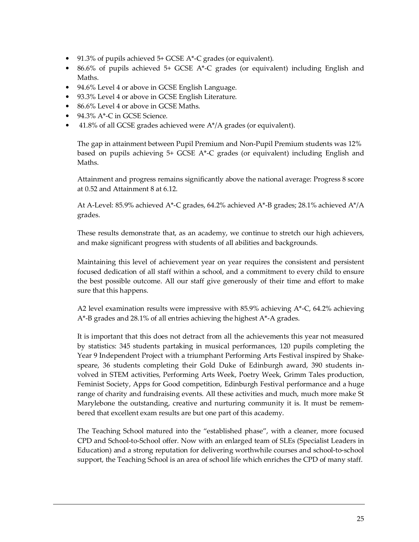- 91.3% of pupils achieved 5+ GCSE A\*-C grades (or equivalent).
- 86.6% of pupils achieved 5+ GCSE A\*-C grades (or equivalent) including English and Maths.
- 94.6% Level 4 or above in GCSE English Language.
- 93.3% Level 4 or above in GCSE English Literature.
- 86.6% Level 4 or above in GCSE Maths.
- 94.3% A\*-C in GCSE Science.
- 41.8% of all GCSE grades achieved were A\*/A grades (or equivalent).

 The gap in attainment between Pupil Premium and Non-Pupil Premium students was 12% based on pupils achieving 5+ GCSE A\*-C grades (or equivalent) including English and Maths.

Attainment and progress remains significantly above the national average: Progress 8 score at 0.52 and Attainment 8 at 6.12.

At A-Level: 85.9% achieved A\*-C grades, 64.2% achieved A\*-B grades; 28.1% achieved A\*/A grades.

These results demonstrate that, as an academy, we continue to stretch our high achievers, and make significant progress with students of all abilities and backgrounds.

Maintaining this level of achievement year on year requires the consistent and persistent focused dedication of all staff within a school, and a commitment to every child to ensure the best possible outcome. All our staff give generously of their time and effort to make sure that this happens.

A2 level examination results were impressive with 85.9% achieving  $A^*$ -C, 64.2% achieving A\*-B grades and 28.1% of all entries achieving the highest A\*-A grades.

It is important that this does not detract from all the achievements this year not measured by statistics: 345 students partaking in musical performances, 120 pupils completing the Year 9 Independent Project with a triumphant Performing Arts Festival inspired by Shakespeare, 36 students completing their Gold Duke of Edinburgh award, 390 students involved in STEM activities, Performing Arts Week, Poetry Week, Grimm Tales production, Feminist Society, Apps for Good competition, Edinburgh Festival performance and a huge range of charity and fundraising events. All these activities and much, much more make St Marylebone the outstanding, creative and nurturing community it is. It must be remembered that excellent exam results are but one part of this academy.

The Teaching School matured into the "established phase", with a cleaner, more focused CPD and School-to-School offer. Now with an enlarged team of SLEs (Specialist Leaders in Education) and a strong reputation for delivering worthwhile courses and school-to-school support, the Teaching School is an area of school life which enriches the CPD of many staff.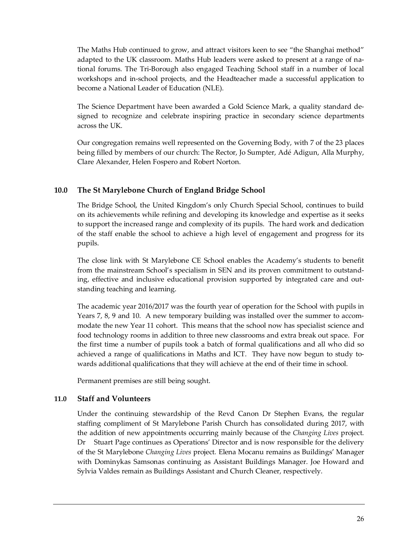The Maths Hub continued to grow, and attract visitors keen to see "the Shanghai method" adapted to the UK classroom. Maths Hub leaders were asked to present at a range of national forums. The Tri-Borough also engaged Teaching School staff in a number of local workshops and in-school projects, and the Headteacher made a successful application to become a National Leader of Education (NLE).

The Science Department have been awarded a Gold Science Mark, a quality standard designed to recognize and celebrate inspiring practice in secondary science departments across the UK.

Our congregation remains well represented on the Governing Body, with 7 of the 23 places being filled by members of our church: The Rector, Jo Sumpter, Adé Adigun, Alla Murphy, Clare Alexander, Helen Fospero and Robert Norton.

# **10.0 The St Marylebone Church of England Bridge School**

The Bridge School, the United Kingdom's only Church Special School, continues to build on its achievements while refining and developing its knowledge and expertise as it seeks to support the increased range and complexity of its pupils. The hard work and dedication of the staff enable the school to achieve a high level of engagement and progress for its pupils.

The close link with St Marylebone CE School enables the Academy's students to benefit from the mainstream School's specialism in SEN and its proven commitment to outstanding, effective and inclusive educational provision supported by integrated care and outstanding teaching and learning.

The academic year 2016/2017 was the fourth year of operation for the School with pupils in Years 7, 8, 9 and 10. A new temporary building was installed over the summer to accommodate the new Year 11 cohort. This means that the school now has specialist science and food technology rooms in addition to three new classrooms and extra break out space. For the first time a number of pupils took a batch of formal qualifications and all who did so achieved a range of qualifications in Maths and ICT. They have now begun to study towards additional qualifications that they will achieve at the end of their time in school.

Permanent premises are still being sought.

# **11.0 Staff and Volunteers**

Under the continuing stewardship of the Revd Canon Dr Stephen Evans, the regular staffing compliment of St Marylebone Parish Church has consolidated during 2017, with the addition of new appointments occurring mainly because of the *Changing Lives* project. Dr Stuart Page continues as Operations' Director and is now responsible for the delivery of the St Marylebone *Changing Lives* project*.* Elena Mocanu remains as Buildings' Manager with Dominykas Samsonas continuing as Assistant Buildings Manager. Joe Howard and Sylvia Valdes remain as Buildings Assistant and Church Cleaner, respectively.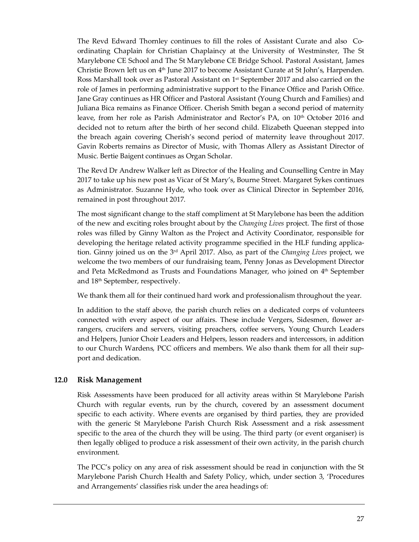The Revd Edward Thornley continues to fill the roles of Assistant Curate and also Coordinating Chaplain for Christian Chaplaincy at the University of Westminster, The St Marylebone CE School and The St Marylebone CE Bridge School. Pastoral Assistant, James Christie Brown left us on 4th June 2017 to become Assistant Curate at St John's, Harpenden. Ross Marshall took over as Pastoral Assistant on 1st September 2017 and also carried on the role of James in performing administrative support to the Finance Office and Parish Office. Jane Gray continues as HR Officer and Pastoral Assistant (Young Church and Families) and Juliana Bica remains as Finance Officer. Cherish Smith began a second period of maternity leave, from her role as Parish Administrator and Rector's PA, on 10<sup>th</sup> October 2016 and decided not to return after the birth of her second child. Elizabeth Queenan stepped into the breach again covering Cherish's second period of maternity leave throughout 2017. Gavin Roberts remains as Director of Music, with Thomas Allery as Assistant Director of Music. Bertie Baigent continues as Organ Scholar.

The Revd Dr Andrew Walker left as Director of the Healing and Counselling Centre in May 2017 to take up his new post as Vicar of St Mary's, Bourne Street. Margaret Sykes continues as Administrator. Suzanne Hyde, who took over as Clinical Director in September 2016, remained in post throughout 2017.

The most significant change to the staff compliment at St Marylebone has been the addition of the new and exciting roles brought about by the *Changing Lives* project. The first of those roles was filled by Ginny Walton as the Project and Activity Coordinator, responsible for developing the heritage related activity programme specified in the HLF funding application. Ginny joined us on the 3rd April 2017. Also, as part of the *Changing Lives* project, we welcome the two members of our fundraising team, Penny Jonas as Development Director and Peta McRedmond as Trusts and Foundations Manager, who joined on 4th September and 18th September, respectively.

We thank them all for their continued hard work and professionalism throughout the year.

In addition to the staff above, the parish church relies on a dedicated corps of volunteers connected with every aspect of our affairs. These include Vergers, Sidesmen, flower arrangers, crucifers and servers, visiting preachers, coffee servers, Young Church Leaders and Helpers, Junior Choir Leaders and Helpers, lesson readers and intercessors, in addition to our Church Wardens, PCC officers and members. We also thank them for all their support and dedication.

# **12.0 Risk Management**

Risk Assessments have been produced for all activity areas within St Marylebone Parish Church with regular events, run by the church, covered by an assessment document specific to each activity. Where events are organised by third parties, they are provided with the generic St Marylebone Parish Church Risk Assessment and a risk assessment specific to the area of the church they will be using. The third party (or event organiser) is then legally obliged to produce a risk assessment of their own activity, in the parish church environment.

The PCC's policy on any area of risk assessment should be read in conjunction with the St Marylebone Parish Church Health and Safety Policy, which, under section 3, 'Procedures and Arrangements' classifies risk under the area headings of: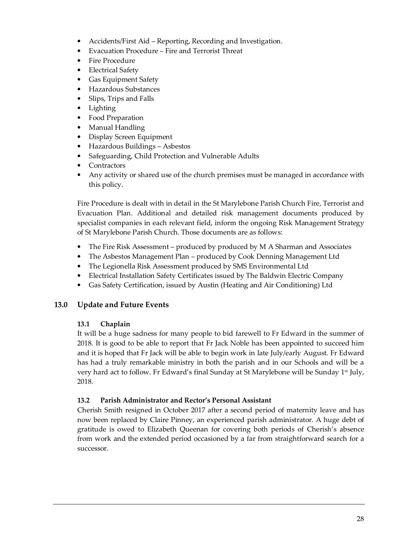- Accidents/First Aid Reporting, Recording and Investigation.
- Evacuation Procedure Fire and Terrorist Threat
- Fire Procedure
- Electrical Safety
- Gas Equipment Safety
- Hazardous Substances
- Slips, Trips and Falls
- Lighting
- Food Preparation
- Manual Handling
- Display Screen Equipment
- Hazardous Buildings Asbestos
- Safeguarding, Child Protection and Vulnerable Adults
- Contractors
- Any activity or shared use of the church premises must be managed in accordance with this policy.

Fire Procedure is dealt with in detail in the St Marylebone Parish Church Fire, Terrorist and Evacuation Plan. Additional and detailed risk management documents produced by specialist companies in each relevant field, inform the ongoing Risk Management Strategy of St Marylebone Parish Church. Those documents are as follows:

- The Fire Risk Assessment produced by produced by M A Sharman and Associates
- The Asbestos Management Plan produced by Cook Denning Management Ltd
- The Legionella Risk Assessment produced by SMS Environmental Ltd
- Electrical Installation Safety Certificates issued by The Baldwin Electric Company
- Gas Safety Certification, issued by Austin (Heating and Air Conditioning) Ltd

# **13.0 Update and Future Events**

# **13.1 Chaplain**

It will be a huge sadness for many people to bid farewell to Fr Edward in the summer of 2018. It is good to be able to report that Fr Jack Noble has been appointed to succeed him and it is hoped that Fr Jack will be able to begin work in late July/early August. Fr Edward has had a truly remarkable ministry in both the parish and in our Schools and will be a very hard act to follow. Fr Edward's final Sunday at St Marylebone will be Sunday 1st July, 2018.

# **13.2 Parish Administrator and Rector's Personal Assistant**

Cherish Smith resigned in October 2017 after a second period of maternity leave and has now been replaced by Claire Pinney, an experienced parish administrator. A huge debt of gratitude is owed to Elizabeth Queenan for covering both periods of Cherish's absence from work and the extended period occasioned by a far from straightforward search for a successor.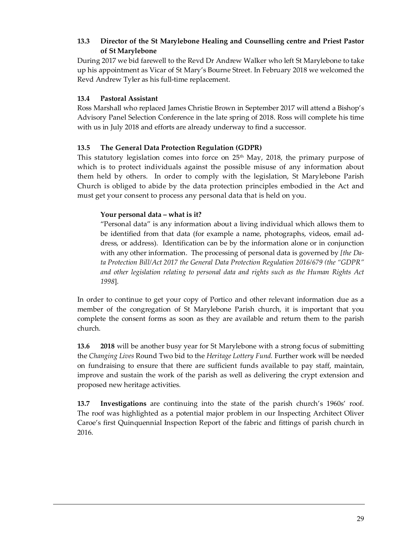# **13.3 Director of the St Marylebone Healing and Counselling centre and Priest Pastor of St Marylebone**

During 2017 we bid farewell to the Revd Dr Andrew Walker who left St Marylebone to take up his appointment as Vicar of St Mary's Bourne Street. In February 2018 we welcomed the Revd Andrew Tyler as his full-time replacement.

# **13.4 Pastoral Assistant**

Ross Marshall who replaced James Christie Brown in September 2017 will attend a Bishop's Advisory Panel Selection Conference in the late spring of 2018. Ross will complete his time with us in July 2018 and efforts are already underway to find a successor.

# **13.5 The General Data Protection Regulation (GDPR)**

This statutory legislation comes into force on  $25<sup>th</sup>$  May, 2018, the primary purpose of which is to protect individuals against the possible misuse of any information about them held by others. In order to comply with the legislation, St Marylebone Parish Church is obliged to abide by the data protection principles embodied in the Act and must get your consent to process any personal data that is held on you.

# **Your personal data – what is it?**

"Personal data" is any information about a living individual which allows them to be identified from that data (for example a name, photographs, videos, email address, or address). Identification can be by the information alone or in conjunction with any other information. The processing of personal data is governed by *[the Data Protection Bill/Act 2017 the General Data Protection Regulation 2016/679 (the "GDPR" and other legislation relating to personal data and rights such as the Human Rights Act 1998*].

In order to continue to get your copy of Portico and other relevant information due as a member of the congregation of St Marylebone Parish church, it is important that you complete the consent forms as soon as they are available and return them to the parish church.

**13.6 2018** will be another busy year for St Marylebone with a strong focus of submitting the *Changing Lives* Round Two bid to the *Heritage Lottery Fund.* Further work will be needed on fundraising to ensure that there are sufficient funds available to pay staff, maintain, improve and sustain the work of the parish as well as delivering the crypt extension and proposed new heritage activities.

**13.7 Investigations** are continuing into the state of the parish church's 1960s' roof. The roof was highlighted as a potential major problem in our Inspecting Architect Oliver Caroe's first Quinquennial Inspection Report of the fabric and fittings of parish church in 2016.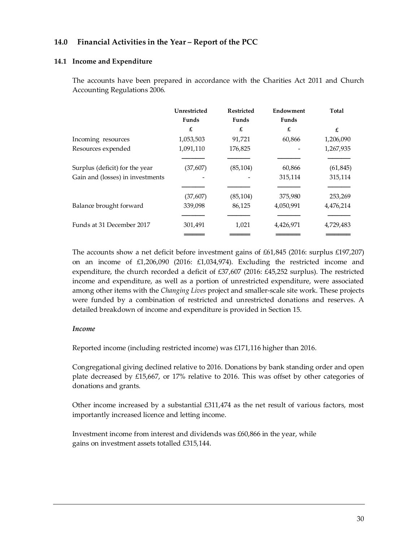# **14.0 Financial Activities in the Year – Report of the PCC**

#### **14.1 Income and Expenditure**

The accounts have been prepared in accordance with the Charities Act 2011 and Church Accounting Regulations 2006.

|                                  | Unrestricted<br>Funds | Restricted<br>Funds | Endowment<br>Funds | Total     |
|----------------------------------|-----------------------|---------------------|--------------------|-----------|
|                                  | £                     | £                   | £                  | £         |
| Incoming resources               | 1,053,503             | 91,721              | 60,866             | 1,206,090 |
| Resources expended               | 1,091,110             | 176,825             |                    | 1,267,935 |
|                                  |                       |                     |                    |           |
| Surplus (deficit) for the year   | (37,607)              | (85, 104)           | 60,866             | (61, 845) |
| Gain and (losses) in investments |                       |                     | 315,114            | 315,114   |
|                                  |                       |                     |                    |           |
|                                  | (37,607)              | (85, 104)           | 375,980            | 253,269   |
| Balance brought forward          | 339,098               | 86,125              | 4,050,991          | 4,476,214 |
|                                  |                       |                     |                    |           |
| Funds at 31 December 2017        | 301,491               | 1,021               | 4,426,971          | 4,729,483 |
|                                  |                       |                     |                    |           |

The accounts show a net deficit before investment gains of £61,845 (2016: surplus £197,207) on an income of £1,206,090 (2016: £1,034,974). Excluding the restricted income and expenditure, the church recorded a deficit of  $£37,607$  (2016:  $£45,252$  surplus). The restricted income and expenditure, as well as a portion of unrestricted expenditure, were associated among other items with the *Changing Lives* project and smaller-scale site work. These projects were funded by a combination of restricted and unrestricted donations and reserves. A detailed breakdown of income and expenditure is provided in Section 15.

#### *Income*

Reported income (including restricted income) was £171,116 higher than 2016.

Congregational giving declined relative to 2016. Donations by bank standing order and open plate decreased by £15,667, or 17% relative to 2016. This was offset by other categories of donations and grants.

Other income increased by a substantial £311,474 as the net result of various factors, most importantly increased licence and letting income.

Investment income from interest and dividends was £60,866 in the year, while gains on investment assets totalled £315,144.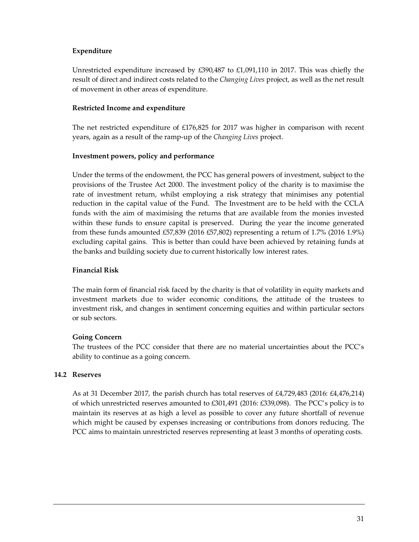# **Expenditure**

Unrestricted expenditure increased by £390,487 to £1,091,110 in 2017. This was chiefly the result of direct and indirect costs related to the *Changing Lives* project, as well as the net result of movement in other areas of expenditure.

#### **Restricted Income and expenditure**

The net restricted expenditure of  $£176,825$  for 2017 was higher in comparison with recent years, again as a result of the ramp-up of the *Changing Lives* project.

#### **Investment powers, policy and performance**

Under the terms of the endowment, the PCC has general powers of investment, subject to the provisions of the Trustee Act 2000. The investment policy of the charity is to maximise the rate of investment return, whilst employing a risk strategy that minimises any potential reduction in the capital value of the Fund. The Investment are to be held with the CCLA funds with the aim of maximising the returns that are available from the monies invested within these funds to ensure capital is preserved. During the year the income generated from these funds amounted £57,839 (2016 £57,802) representing a return of 1.7% (2016 1.9%) excluding capital gains. This is better than could have been achieved by retaining funds at the banks and building society due to current historically low interest rates.

# **Financial Risk**

The main form of financial risk faced by the charity is that of volatility in equity markets and investment markets due to wider economic conditions, the attitude of the trustees to investment risk, and changes in sentiment concerning equities and within particular sectors or sub sectors.

#### **Going Concern**

The trustees of the PCC consider that there are no material uncertainties about the PCC's ability to continue as a going concern.

#### **14.2 Reserves**

As at 31 December 2017, the parish church has total reserves of £4,729,483 (2016: £4,476,214) of which unrestricted reserves amounted to £301,491 (2016: £339,098). The PCC's policy is to maintain its reserves at as high a level as possible to cover any future shortfall of revenue which might be caused by expenses increasing or contributions from donors reducing. The PCC aims to maintain unrestricted reserves representing at least 3 months of operating costs.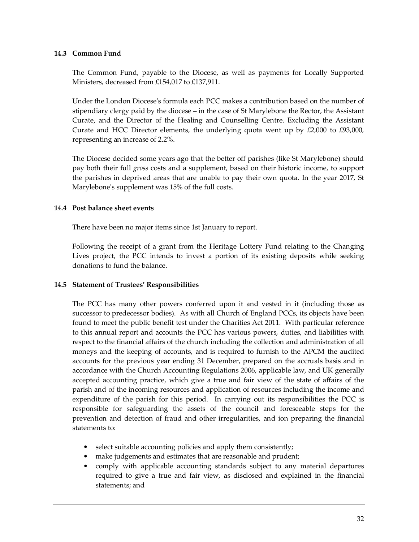#### **14.3 Common Fund**

The Common Fund, payable to the Diocese, as well as payments for Locally Supported Ministers, decreased from £154,017 to £137,911.

Under the London Diocese's formula each PCC makes a contribution based on the number of stipendiary clergy paid by the diocese – in the case of St Marylebone the Rector, the Assistant Curate, and the Director of the Healing and Counselling Centre. Excluding the Assistant Curate and HCC Director elements, the underlying quota went up by £2,000 to £93,000, representing an increase of 2.2%.

The Diocese decided some years ago that the better off parishes (like St Marylebone) should pay both their full *gross* costs and a supplement, based on their historic income, to support the parishes in deprived areas that are unable to pay their own quota. In the year 2017, St Marylebone's supplement was 15% of the full costs.

#### **14.4 Post balance sheet events**

There have been no major items since 1st January to report.

Following the receipt of a grant from the Heritage Lottery Fund relating to the Changing Lives project, the PCC intends to invest a portion of its existing deposits while seeking donations to fund the balance.

# **14.5 Statement of Trustees' Responsibilities**

The PCC has many other powers conferred upon it and vested in it (including those as successor to predecessor bodies). As with all Church of England PCCs, its objects have been found to meet the public benefit test under the Charities Act 2011. With particular reference to this annual report and accounts the PCC has various powers, duties, and liabilities with respect to the financial affairs of the church including the collection and administration of all moneys and the keeping of accounts, and is required to furnish to the APCM the audited accounts for the previous year ending 31 December, prepared on the accruals basis and in accordance with the Church Accounting Regulations 2006, applicable law, and UK generally accepted accounting practice, which give a true and fair view of the state of affairs of the parish and of the incoming resources and application of resources including the income and expenditure of the parish for this period. In carrying out its responsibilities the PCC is responsible for safeguarding the assets of the council and foreseeable steps for the prevention and detection of fraud and other irregularities, and ion preparing the financial statements to:

- select suitable accounting policies and apply them consistently;
- make judgements and estimates that are reasonable and prudent;
- comply with applicable accounting standards subject to any material departures required to give a true and fair view, as disclosed and explained in the financial statements; and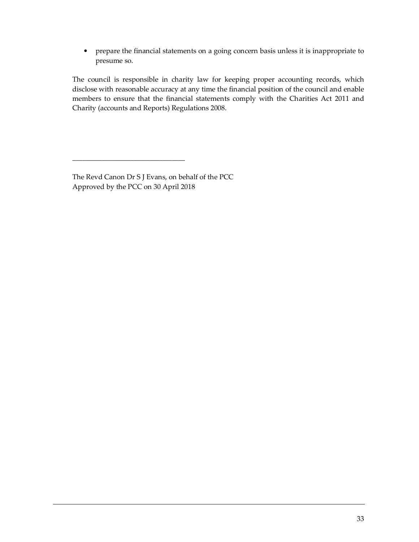• prepare the financial statements on a going concern basis unless it is inappropriate to presume so.

The council is responsible in charity law for keeping proper accounting records, which disclose with reasonable accuracy at any time the financial position of the council and enable members to ensure that the financial statements comply with the Charities Act 2011 and Charity (accounts and Reports) Regulations 2008.

 $\frac{1}{\sqrt{2}}$ 

The Revd Canon Dr S J Evans, on behalf of the PCC Approved by the PCC on 30 April 2018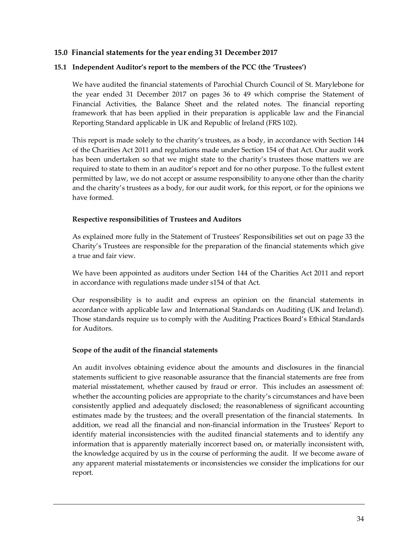### **15.0 Financial statements for the year ending 31 December 2017**

#### **15.1 Independent Auditor's report to the members of the PCC (the 'Trustees')**

We have audited the financial statements of Parochial Church Council of St. Marylebone for the year ended 31 December 2017 on pages 36 to 49 which comprise the Statement of Financial Activities, the Balance Sheet and the related notes. The financial reporting framework that has been applied in their preparation is applicable law and the Financial Reporting Standard applicable in UK and Republic of Ireland (FRS 102).

This report is made solely to the charity's trustees, as a body, in accordance with Section 144 of the Charities Act 2011 and regulations made under Section 154 of that Act. Our audit work has been undertaken so that we might state to the charity's trustees those matters we are required to state to them in an auditor's report and for no other purpose. To the fullest extent permitted by law, we do not accept or assume responsibility to anyone other than the charity and the charity's trustees as a body, for our audit work, for this report, or for the opinions we have formed.

#### **Respective responsibilities of Trustees and Auditors**

As explained more fully in the Statement of Trustees' Responsibilities set out on page 33 the Charity's Trustees are responsible for the preparation of the financial statements which give a true and fair view.

We have been appointed as auditors under Section 144 of the Charities Act 2011 and report in accordance with regulations made under s154 of that Act.

Our responsibility is to audit and express an opinion on the financial statements in accordance with applicable law and International Standards on Auditing (UK and Ireland). Those standards require us to comply with the Auditing Practices Board's Ethical Standards for Auditors.

#### **Scope of the audit of the financial statements**

An audit involves obtaining evidence about the amounts and disclosures in the financial statements sufficient to give reasonable assurance that the financial statements are free from material misstatement, whether caused by fraud or error. This includes an assessment of: whether the accounting policies are appropriate to the charity's circumstances and have been consistently applied and adequately disclosed; the reasonableness of significant accounting estimates made by the trustees; and the overall presentation of the financial statements. In addition, we read all the financial and non-financial information in the Trustees' Report to identify material inconsistencies with the audited financial statements and to identify any information that is apparently materially incorrect based on, or materially inconsistent with, the knowledge acquired by us in the course of performing the audit. If we become aware of any apparent material misstatements or inconsistencies we consider the implications for our report.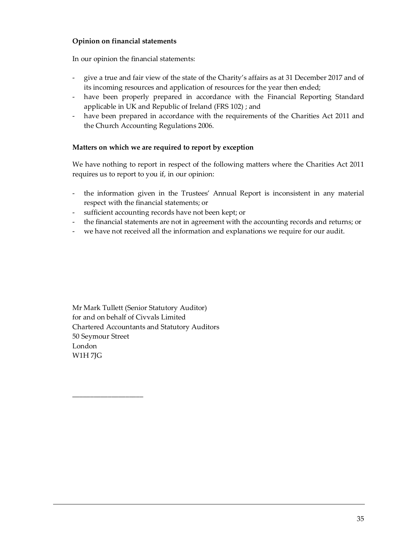# **Opinion on financial statements**

In our opinion the financial statements:

- give a true and fair view of the state of the Charity's affairs as at 31 December 2017 and of its incoming resources and application of resources for the year then ended;
- have been properly prepared in accordance with the Financial Reporting Standard applicable in UK and Republic of Ireland (FRS 102) ; and
- have been prepared in accordance with the requirements of the Charities Act 2011 and the Church Accounting Regulations 2006.

### **Matters on which we are required to report by exception**

We have nothing to report in respect of the following matters where the Charities Act 2011 requires us to report to you if, in our opinion:

- the information given in the Trustees' Annual Report is inconsistent in any material respect with the financial statements; or
- sufficient accounting records have not been kept; or
- the financial statements are not in agreement with the accounting records and returns; or
- we have not received all the information and explanations we require for our audit.

Mr Mark Tullett (Senior Statutory Auditor) for and on behalf of Civvals Limited Chartered Accountants and Statutory Auditors 50 Seymour Street London W1H 7JG

\_\_\_\_\_\_\_\_\_\_\_\_\_\_\_\_\_\_\_\_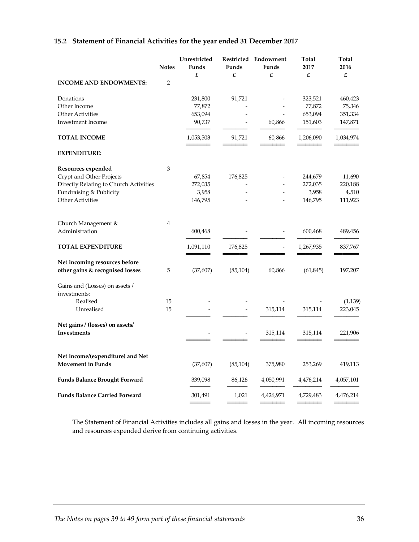# **15.2 Statement of Financial Activities for the year ended 31 December 2017**

|                                                | <b>Notes</b> | Unrestricted<br>Funds | Funds     | Restricted Endowment<br>Funds | Total<br>2017 | Total<br>2016 |
|------------------------------------------------|--------------|-----------------------|-----------|-------------------------------|---------------|---------------|
|                                                |              | £                     | £         | £                             | £             | £             |
| <b>INCOME AND ENDOWMENTS:</b>                  | 2            |                       |           |                               |               |               |
| Donations                                      |              | 231,800               | 91,721    |                               | 323,521       | 460,423       |
| Other Income                                   |              | 77,872                |           |                               | 77,872        | 75,346        |
| Other Activities                               |              | 653,094               |           |                               | 653,094       | 351,334       |
| Investment Income                              |              | 90,737                |           | 60,866                        | 151,603       | 147,871       |
| <b>TOTAL INCOME</b>                            |              | 1,053,503             | 91,721    | 60,866                        | 1,206,090     | 1,034,974     |
| <b>EXPENDITURE:</b>                            |              |                       |           |                               |               |               |
| Resources expended                             | 3            |                       |           |                               |               |               |
| Crypt and Other Projects                       |              | 67,854                | 176,825   |                               | 244,679       | 11,690        |
| Directly Relating to Church Activities         |              | 272,035               |           | $\overline{a}$                | 272,035       | 220,188       |
| Fundraising & Publicity                        |              | 3,958                 |           |                               | 3,958         | 4,510         |
| Other Activities                               |              | 146,795               |           |                               | 146,795       | 111,923       |
| Church Management &                            | 4            |                       |           |                               |               |               |
| Administration                                 |              | 600,468               |           |                               | 600,468       | 489,456       |
| <b>TOTAL EXPENDITURE</b>                       |              | 1,091,110             | 176,825   |                               | 1,267,935     | 837,767       |
| Net incoming resources before                  |              |                       |           |                               |               |               |
| other gains & recognised losses                | 5            | (37, 607)             | (85, 104) | 60,866                        | (61, 845)     | 197,207       |
| Gains and (Losses) on assets /<br>investments: |              |                       |           |                               |               |               |
| Realised                                       | 15           |                       |           |                               |               | (1, 139)      |
| Unrealised                                     | 15           |                       |           | 315,114                       | 315,114       | 223,045       |
| Net gains / (losses) on assets/                |              |                       |           |                               |               |               |
| Investments                                    |              |                       |           | 315,114                       | 315,114       | 221,906       |
| Net income/(expenditure) and Net               |              |                       |           |                               |               |               |
| <b>Movement</b> in Funds                       |              | (37, 607)             | (85, 104) | 375,980                       | 253,269       | 419,113       |
| <b>Funds Balance Brought Forward</b>           |              | 339,098               | 86,126    | 4,050,991                     | 4,476,214     | 4,057,101     |
| <b>Funds Balance Carried Forward</b>           |              | 301,491               | 1,021     | 4,426,971                     | 4,729,483     | 4,476,214     |
|                                                |              |                       |           |                               |               |               |

The Statement of Financial Activities includes all gains and losses in the year. All incoming resources and resources expended derive from continuing activities.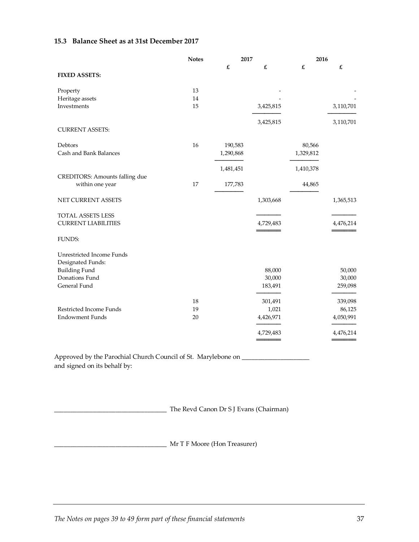#### **15.3 Balance Sheet as at 31st December 2017**

|                                                             | £         | £         | £                                       | £         |
|-------------------------------------------------------------|-----------|-----------|-----------------------------------------|-----------|
|                                                             |           |           |                                         |           |
|                                                             |           |           |                                         |           |
| 13                                                          |           |           |                                         |           |
| 14                                                          |           |           |                                         |           |
| 15                                                          |           | 3,425,815 |                                         | 3,110,701 |
|                                                             |           | 3,425,815 |                                         | 3,110,701 |
|                                                             |           |           |                                         |           |
| 16                                                          | 190,583   |           | 80,566                                  |           |
|                                                             | 1,290,868 |           | 1,329,812                               |           |
|                                                             | 1,481,451 |           | 1,410,378                               |           |
|                                                             |           |           |                                         |           |
|                                                             |           |           |                                         |           |
|                                                             |           | 1,303,668 |                                         | 1,365,513 |
|                                                             |           |           |                                         |           |
|                                                             |           | 4,729,483 |                                         | 4,476,214 |
|                                                             |           |           |                                         |           |
|                                                             |           |           |                                         |           |
|                                                             |           |           |                                         |           |
|                                                             |           | 88,000    |                                         | 50,000    |
|                                                             |           |           |                                         | 30,000    |
|                                                             |           |           |                                         | 259,098   |
| 18                                                          |           | 301,491   |                                         | 339,098   |
|                                                             |           |           |                                         | 86,125    |
| 20                                                          |           |           |                                         | 4,050,991 |
|                                                             |           | 4,729,483 |                                         | 4,476,214 |
| regional les the Democratic Charmele Council of Ct. Mondele | 17<br>19  | 177,783   | 30,000<br>183,491<br>1,021<br>4,426,971 | 44,865    |

Approved by the Parochial Church Council of St. Marylebone on \_\_\_\_\_\_\_\_\_\_\_\_\_\_\_\_\_\_ and signed on its behalf by:

\_\_\_\_\_\_\_\_\_\_\_\_\_\_\_\_\_\_\_\_\_\_\_\_\_\_\_\_\_\_\_\_\_\_\_ The Revd Canon Dr S J Evans (Chairman)

\_\_\_\_\_\_\_\_\_\_\_\_\_\_\_\_\_\_\_\_\_\_\_\_\_\_\_\_\_\_\_\_\_\_\_ Mr T F Moore (Hon Treasurer)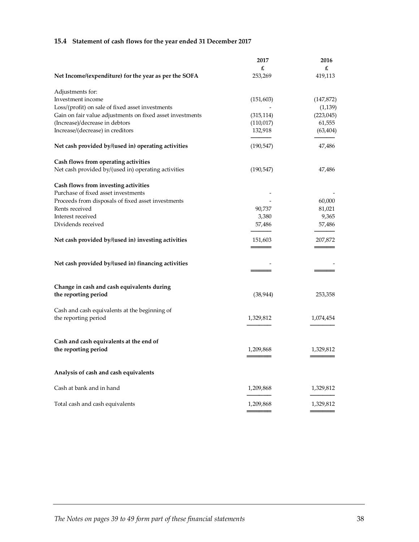# **15.4 Statement of cash flows for the year ended 31 December 2017**

|                                                                 | 2017       | 2016       |
|-----------------------------------------------------------------|------------|------------|
|                                                                 | £          | £          |
| Net Income/(expenditure) for the year as per the SOFA           | 253,269    | 419,113    |
| Adjustments for:                                                |            |            |
| Investment income                                               | (151, 603) | (147, 872) |
| Loss/(profit) on sale of fixed asset investments                |            | (1,139)    |
| Gain on fair value adjustments on fixed asset investments       | (315, 114) | (223, 045) |
| (Increase)/decrease in debtors                                  | (110, 017) | 61,555     |
| Increase/(decrease) in creditors                                | 132,918    | (63, 404)  |
| Net cash provided by/(used in) operating activities             | (190, 547) | 47,486     |
| Cash flows from operating activities                            |            |            |
| Net cash provided by/(used in) operating activities             | (190, 547) | 47,486     |
| Cash flows from investing activities                            |            |            |
| Purchase of fixed asset investments                             |            |            |
| Proceeds from disposals of fixed asset investments              |            | 60,000     |
| Rents received                                                  | 90,737     | 81,021     |
| Interest received                                               | 3,380      | 9,365      |
| Dividends received                                              | 57,486     | 57,486     |
| Net cash provided by/(used in) investing activities             | 151,603    | 207,872    |
| Net cash provided by/(used in) financing activities             |            |            |
|                                                                 |            |            |
| Change in cash and cash equivalents during                      |            |            |
| the reporting period                                            | (38, 944)  | 253,358    |
| Cash and cash equivalents at the beginning of                   |            |            |
| the reporting period                                            | 1,329,812  | 1,074,454  |
|                                                                 |            |            |
| Cash and cash equivalents at the end of<br>the reporting period | 1,209,868  | 1,329,812  |
|                                                                 |            |            |
| Analysis of cash and cash equivalents                           |            |            |
| Cash at bank and in hand                                        | 1,209,868  | 1,329,812  |
| Total cash and cash equivalents                                 | 1,209,868  | 1,329,812  |
|                                                                 |            |            |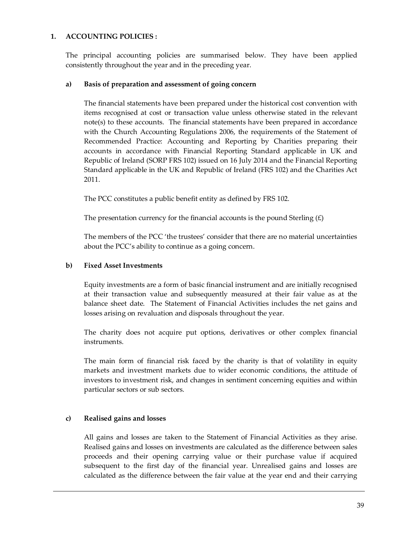#### **1. ACCOUNTING POLICIES :**

The principal accounting policies are summarised below. They have been applied consistently throughout the year and in the preceding year.

#### **a) Basis of preparation and assessment of going concern**

The financial statements have been prepared under the historical cost convention with items recognised at cost or transaction value unless otherwise stated in the relevant note(s) to these accounts. The financial statements have been prepared in accordance with the Church Accounting Regulations 2006, the requirements of the Statement of Recommended Practice: Accounting and Reporting by Charities preparing their accounts in accordance with Financial Reporting Standard applicable in UK and Republic of Ireland (SORP FRS 102) issued on 16 July 2014 and the Financial Reporting Standard applicable in the UK and Republic of Ireland (FRS 102) and the Charities Act 2011.

The PCC constitutes a public benefit entity as defined by FRS 102.

The presentation currency for the financial accounts is the pound Sterling  $(E)$ 

The members of the PCC 'the trustees' consider that there are no material uncertainties about the PCC's ability to continue as a going concern.

#### **b) Fixed Asset Investments**

 Equity investments are a form of basic financial instrument and are initially recognised at their transaction value and subsequently measured at their fair value as at the balance sheet date. The Statement of Financial Activities includes the net gains and losses arising on revaluation and disposals throughout the year.

The charity does not acquire put options, derivatives or other complex financial instruments.

The main form of financial risk faced by the charity is that of volatility in equity markets and investment markets due to wider economic conditions, the attitude of investors to investment risk, and changes in sentiment concerning equities and within particular sectors or sub sectors.

#### **c) Realised gains and losses**

All gains and losses are taken to the Statement of Financial Activities as they arise. Realised gains and losses on investments are calculated as the difference between sales proceeds and their opening carrying value or their purchase value if acquired subsequent to the first day of the financial year. Unrealised gains and losses are calculated as the difference between the fair value at the year end and their carrying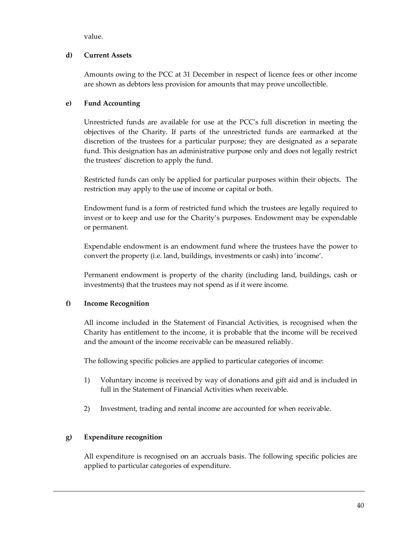value.

#### **d) Current Assets**

Amounts owing to the PCC at 31 December in respect of licence fees or other income are shown as debtors less provision for amounts that may prove uncollectible.

# **e) Fund Accounting**

 Unrestricted funds are available for use at the PCC's full discretion in meeting the objectives of the Charity. If parts of the unrestricted funds are earmarked at the discretion of the trustees for a particular purpose; they are designated as a separate fund. This designation has an administrative purpose only and does not legally restrict the trustees' discretion to apply the fund.

Restricted funds can only be applied for particular purposes within their objects. The restriction may apply to the use of income or capital or both.

Endowment fund is a form of restricted fund which the trustees are legally required to invest or to keep and use for the Charity's purposes. Endowment may be expendable or permanent.

Expendable endowment is an endowment fund where the trustees have the power to convert the property (i.e. land, buildings, investments or cash) into 'income'.

Permanent endowment is property of the charity (including land, buildings, cash or investments) that the trustees may not spend as if it were income.

# **f) Income Recognition**

 All income included in the Statement of Financial Activities, is recognised when the Charity has entitlement to the income, it is probable that the income will be received and the amount of the income receivable can be measured reliably.

The following specific policies are applied to particular categories of income:

- 1) Voluntary income is received by way of donations and gift aid and is included in full in the Statement of Financial Activities when receivable.
- 2) Investment, trading and rental income are accounted for when receivable.

# **g) Expenditure recognition**

All expenditure is recognised on an accruals basis. The following specific policies are applied to particular categories of expenditure.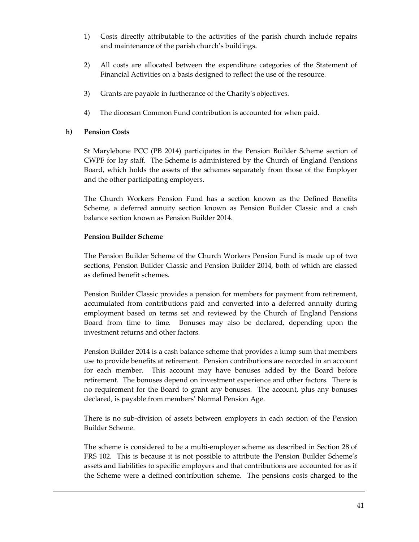- 1) Costs directly attributable to the activities of the parish church include repairs and maintenance of the parish church's buildings.
- 2) All costs are allocated between the expenditure categories of the Statement of Financial Activities on a basis designed to reflect the use of the resource.
- 3) Grants are payable in furtherance of the Charity's objectives.
- 4) The diocesan Common Fund contribution is accounted for when paid.

#### **h) Pension Costs**

St Marylebone PCC (PB 2014) participates in the Pension Builder Scheme section of CWPF for lay staff. The Scheme is administered by the Church of England Pensions Board, which holds the assets of the schemes separately from those of the Employer and the other participating employers.

The Church Workers Pension Fund has a section known as the Defined Benefits Scheme, a deferred annuity section known as Pension Builder Classic and a cash balance section known as Pension Builder 2014.

### **Pension Builder Scheme**

The Pension Builder Scheme of the Church Workers Pension Fund is made up of two sections, Pension Builder Classic and Pension Builder 2014, both of which are classed as defined benefit schemes.

Pension Builder Classic provides a pension for members for payment from retirement, accumulated from contributions paid and converted into a deferred annuity during employment based on terms set and reviewed by the Church of England Pensions Board from time to time. Bonuses may also be declared, depending upon the investment returns and other factors.

Pension Builder 2014 is a cash balance scheme that provides a lump sum that members use to provide benefits at retirement. Pension contributions are recorded in an account for each member. This account may have bonuses added by the Board before retirement. The bonuses depend on investment experience and other factors. There is no requirement for the Board to grant any bonuses. The account, plus any bonuses declared, is payable from members' Normal Pension Age.

There is no sub-division of assets between employers in each section of the Pension Builder Scheme.

The scheme is considered to be a multi-employer scheme as described in Section 28 of FRS 102. This is because it is not possible to attribute the Pension Builder Scheme's assets and liabilities to specific employers and that contributions are accounted for as if the Scheme were a defined contribution scheme. The pensions costs charged to the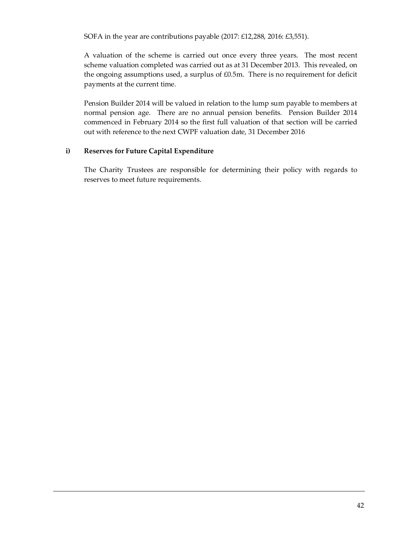SOFA in the year are contributions payable (2017: £12,288, 2016: £3,551).

A valuation of the scheme is carried out once every three years. The most recent scheme valuation completed was carried out as at 31 December 2013. This revealed, on the ongoing assumptions used, a surplus of £0.5m. There is no requirement for deficit payments at the current time.

Pension Builder 2014 will be valued in relation to the lump sum payable to members at normal pension age. There are no annual pension benefits. Pension Builder 2014 commenced in February 2014 so the first full valuation of that section will be carried out with reference to the next CWPF valuation date, 31 December 2016

#### **i) Reserves for Future Capital Expenditure**

The Charity Trustees are responsible for determining their policy with regards to reserves to meet future requirements.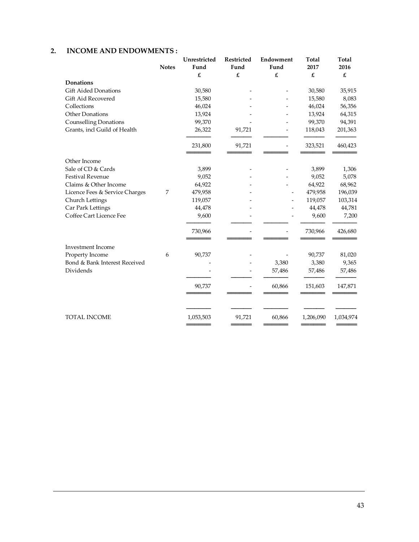# **2. INCOME AND ENDOWMENTS :**

|                                | <b>Notes</b> | Unrestricted<br>Fund | Restricted<br>Fund | Endowment<br>Fund | <b>Total</b><br>2017 | <b>Total</b><br>2016 |
|--------------------------------|--------------|----------------------|--------------------|-------------------|----------------------|----------------------|
|                                |              | £                    | £                  | £                 | £                    | £                    |
| Donations                      |              |                      |                    |                   |                      |                      |
| <b>Gift Aided Donations</b>    |              | 30,580               |                    |                   | 30,580               | 35,915               |
| Gift Aid Recovered             |              | 15,580               |                    |                   | 15,580               | 8,083                |
| Collections                    |              | 46,024               |                    |                   | 46,024               | 56,356               |
| <b>Other Donations</b>         |              | 13,924               |                    |                   | 13,924               | 64,315               |
| <b>Counselling Donations</b>   |              | 99,370               |                    |                   | 99,370               | 94,391               |
| Grants, incl Guild of Health   |              | 26,322               | 91,721             |                   | 118,043              | 201,363              |
|                                |              | 231,800              | 91,721             |                   | 323,521              | 460,423              |
| Other Income                   |              |                      |                    |                   |                      |                      |
| Sale of CD & Cards             |              | 3,899                |                    |                   | 3,899                | 1,306                |
| <b>Festival Revenue</b>        |              | 9,052                |                    |                   | 9,052                | 5,078                |
| Claims & Other Income          |              | 64,922               |                    |                   | 64,922               | 68,962               |
| Licence Fees & Service Charges | 7            | 479,958              |                    |                   | 479,958              | 196,039              |
| Church Lettings                |              | 119,057              |                    |                   | 119,057              | 103,314              |
| Car Park Lettings              |              | 44,478               |                    |                   | 44,478               | 44,781               |
| Coffee Cart Licence Fee        |              | 9,600                |                    |                   | 9,600                | 7,200                |
|                                |              | 730,966              |                    |                   | 730,966              | 426,680              |
| Investment Income              |              |                      |                    |                   |                      |                      |
| Property Income                | 6            | 90,737               |                    |                   | 90,737               | 81,020               |
| Bond & Bank Interest Received  |              |                      |                    | 3,380             | 3,380                | 9,365                |
| Dividends                      |              |                      |                    | 57,486            | 57,486               | 57,486               |
|                                |              | 90,737               |                    | 60,866            | 151,603              | 147,871              |
|                                |              |                      |                    |                   |                      |                      |
| <b>TOTAL INCOME</b>            |              | 1,053,503            | 91,721             | 60,866            | 1,206,090            | 1,034,974            |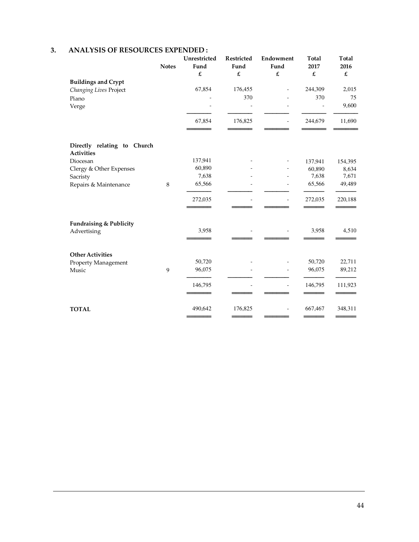# **3. ANALYSIS OF RESOURCES EXPENDED :**

|                                                  | <b>Notes</b> | Unrestricted<br>Fund<br>£ | Restricted<br>Fund<br>$\pmb{\mathit{f}}$ | Endowment<br>Fund<br>$\pmb{\mathit{f}}$ | <b>Total</b><br>2017<br>£ | <b>Total</b><br>2016<br>$\pmb{\mathit{f}}$ |
|--------------------------------------------------|--------------|---------------------------|------------------------------------------|-----------------------------------------|---------------------------|--------------------------------------------|
| <b>Buildings and Crypt</b>                       |              |                           |                                          |                                         |                           |                                            |
| Changing Lives Project                           |              | 67,854                    | 176,455                                  |                                         | 244,309                   | 2,015                                      |
| Piano                                            |              |                           | 370                                      |                                         | 370                       | 75                                         |
| Verge                                            |              |                           |                                          |                                         |                           | 9,600                                      |
|                                                  |              | 67,854                    | 176,825                                  |                                         | 244,679                   | 11,690                                     |
| Directly relating to Church<br><b>Activities</b> |              |                           |                                          |                                         |                           |                                            |
| Diocesan                                         |              | 137,941                   |                                          |                                         | 137,941                   | 154,395                                    |
| Clergy & Other Expenses                          |              | 60,890                    |                                          |                                         | 60,890                    | 8,634                                      |
| Sacristy                                         |              | 7,638                     |                                          |                                         | 7,638                     | 7,671                                      |
| Repairs & Maintenance                            | $\,8\,$      | 65,566                    |                                          |                                         | 65,566                    | 49,489                                     |
|                                                  |              | 272,035                   |                                          |                                         | 272,035                   | 220,188                                    |
| <b>Fundraising &amp; Publicity</b>               |              |                           |                                          |                                         |                           |                                            |
| Advertising                                      |              | 3,958                     |                                          |                                         | 3,958                     | 4,510                                      |
| <b>Other Activities</b>                          |              |                           |                                          |                                         |                           |                                            |
| Property Management                              |              | 50,720                    |                                          |                                         | 50,720                    | 22,711                                     |
| Music                                            | 9            | 96,075                    |                                          |                                         | 96,075                    | 89,212                                     |
|                                                  |              | 146,795                   |                                          |                                         | 146,795                   | 111,923                                    |
| <b>TOTAL</b>                                     |              | 490,642                   | 176,825                                  |                                         | 667,467                   | 348,311                                    |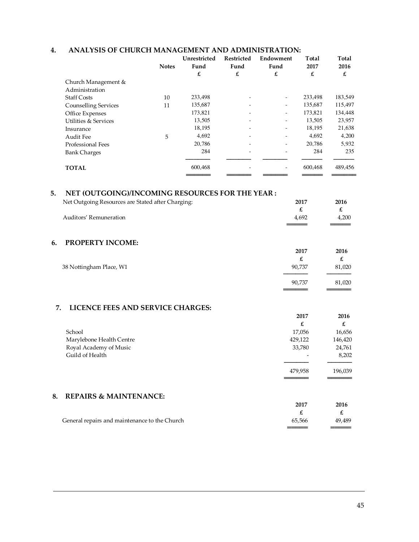# **4. ANALYSIS OF CHURCH MANAGEMENT AND ADMINISTRATION:**

|                             | <b>Notes</b> | Unrestricted<br>Fund | <b>Restricted</b><br>Fund | Endowment<br>Fund | Total<br>2017 | Total<br>2016 |
|-----------------------------|--------------|----------------------|---------------------------|-------------------|---------------|---------------|
|                             |              | £                    | £                         | £                 | £             | £             |
| Church Management &         |              |                      |                           |                   |               |               |
| Administration              |              |                      |                           |                   |               |               |
| <b>Staff Costs</b>          | 10           | 233,498              |                           | ۰                 | 233,498       | 183,549       |
| <b>Counselling Services</b> | 11           | 135,687              |                           | Ξ.                | 135,687       | 115,497       |
| Office Expenses             |              | 173,821              |                           |                   | 173,821       | 134,448       |
| Utilities & Services        |              | 13,505               |                           | Ξ.                | 13,505        | 23,957        |
| Insurance                   |              | 18,195               |                           |                   | 18,195        | 21,638        |
| Audit Fee                   | 5            | 4,692                |                           |                   | 4,692         | 4,200         |
| Professional Fees           |              | 20,786               |                           |                   | 20,786        | 5,932         |
| <b>Bank Charges</b>         |              | 284                  |                           |                   | 284           | 235           |
| <b>TOTAL</b>                |              | 600,468              |                           |                   | 600,468       | 489,456       |

| NET (OUTGOING)/INCOMING RESOURCES FOR THE YEAR:   |       |       |
|---------------------------------------------------|-------|-------|
| Net Outgoing Resources are Stated after Charging: | 2017  | 2016  |
|                                                   |       |       |
| Auditors' Remuneration                            | 4.692 | 4.200 |
|                                                   |       |       |

# **6. PROPERTY INCOME:**

|                         | 2017   | 2016   |
|-------------------------|--------|--------|
|                         |        |        |
| 38 Nottingham Place, W1 | 90,737 | 81,020 |
|                         | 90,737 | 81,020 |

# **7. LICENCE FEES AND SERVICE CHARGES:**

|                                               | 2017<br>£ | 2016<br>£ |
|-----------------------------------------------|-----------|-----------|
| School                                        | 17,056    | 16,656    |
| Marylebone Health Centre                      | 429,122   | 146,420   |
| Royal Academy of Music                        | 33,780    | 24,761    |
| Guild of Health                               |           | 8,202     |
|                                               | 479,958   | 196,039   |
| 8.<br><b>REPAIRS &amp; MAINTENANCE:</b>       |           |           |
|                                               | 2017      | 2016      |
|                                               | £         | £         |
| General repairs and maintenance to the Church | 65,566    | 49,489    |
|                                               |           |           |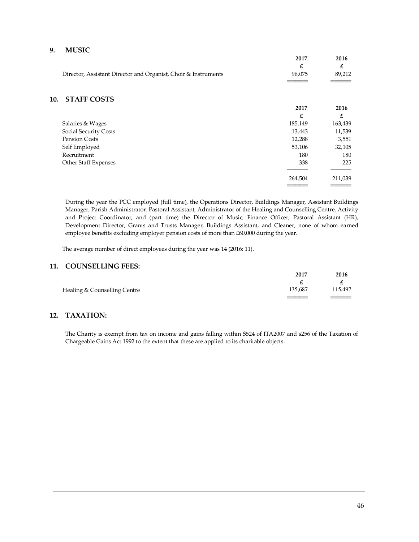# **9. MUSIC**

| Director, Assistant Director and Organist, Choir & Instruments | 2017<br>£<br>96,075 | 2016<br>£<br>89,212 |
|----------------------------------------------------------------|---------------------|---------------------|
| <b>STAFF COSTS</b><br>10.                                      |                     |                     |
|                                                                | 2017                | 2016                |
|                                                                | £                   | £                   |
| Salaries & Wages                                               | 185,149             | 163,439             |
| Social Security Costs                                          | 13,443              | 11,539              |
| <b>Pension Costs</b>                                           | 12,288              | 3,551               |
| Self Employed                                                  | 53,106              | 32,105              |
| Recruitment                                                    | 180                 | 180                 |
| Other Staff Expenses                                           | 338                 | 225                 |
|                                                                | 264,504             | 211,039             |
|                                                                |                     |                     |

During the year the PCC employed (full time), the Operations Director, Buildings Manager, Assistant Buildings Manager, Parish Administrator, Pastoral Assistant, Administrator of the Healing and Counselling Centre, Activity and Project Coordinator, and (part time) the Director of Music, Finance Officer, Pastoral Assistant (HR), Development Director, Grants and Trusts Manager, Buildings Assistant, and Cleaner, none of whom earned employee benefits excluding employer pension costs of more than £60,000 during the year.

The average number of direct employees during the year was 14 (2016: 11).

#### **11. COUNSELLING FEES:**

|                              | 2017    | 2016         |
|------------------------------|---------|--------------|
|                              |         | $\mathbf{f}$ |
| Healing & Counselling Centre | 135,687 | 115,497      |
|                              | _____   | _____        |

#### **12. TAXATION:**

The Charity is exempt from tax on income and gains falling within S524 of ITA2007 and s256 of the Taxation of Chargeable Gains Act 1992 to the extent that these are applied to its charitable objects.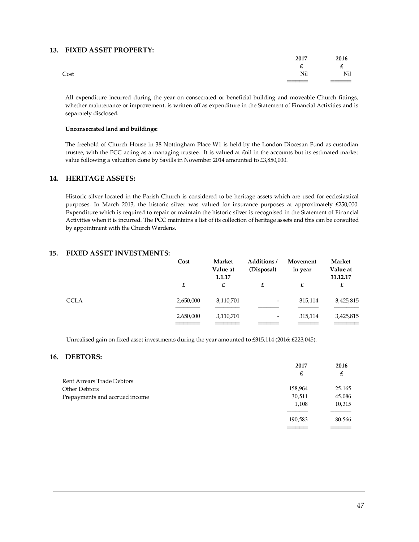#### **13. FIXED ASSET PROPERTY:**

|      | 2017 | 2016                      |
|------|------|---------------------------|
|      |      | $\mathbf{E}$ $\mathbf{E}$ |
| Cost |      | Nil Nil                   |
|      | ____ | ____                      |

All expenditure incurred during the year on consecrated or beneficial building and moveable Church fittings, whether maintenance or improvement, is written off as expenditure in the Statement of Financial Activities and is separately disclosed.

#### **Unconsecrated land and buildings:**

The freehold of Church House in 38 Nottingham Place W1 is held by the London Diocesan Fund as custodian trustee, with the PCC acting as a managing trustee. It is valued at £nil in the accounts but its estimated market value following a valuation done by Savills in November 2014 amounted to £3,850,000.

#### **14. HERITAGE ASSETS:**

Historic silver located in the Parish Church is considered to be heritage assets which are used for ecclesiastical purposes. In March 2013, the historic silver was valued for insurance purposes at approximately £250,000. Expenditure which is required to repair or maintain the historic silver is recognised in the Statement of Financial Activities when it is incurred. The PCC maintains a list of its collection of heritage assets and this can be consulted by appointment with the Church Wardens.

#### **15. FIXED ASSET INVESTMENTS:**

|             | Cost      | Market<br>Value at<br>1.1.17 | Additions/<br>(Disposal) | Movement<br>in year | Market<br>Value at<br>31.12.17 |
|-------------|-----------|------------------------------|--------------------------|---------------------|--------------------------------|
|             | £         | £                            | £                        | £                   | £                              |
| <b>CCLA</b> | 2,650,000 | 3,110,701                    | $\overline{\phantom{a}}$ | 315,114             | 3,425,815                      |
|             | 2,650,000 | 3,110,701                    | $\overline{\phantom{a}}$ | 315,114             | 3,425,815                      |

Unrealised gain on fixed asset investments during the year amounted to £315,114 (2016: £223,045).

#### **16. DEBTORS:**

|                                | 2017    | 2016   |
|--------------------------------|---------|--------|
|                                | £       | £      |
| Rent Arrears Trade Debtors     |         |        |
| Other Debtors                  | 158,964 | 25,165 |
| Prepayments and accrued income | 30,511  | 45,086 |
|                                | 1,108   | 10,315 |
|                                |         |        |
|                                | 190,583 | 80,566 |
|                                |         |        |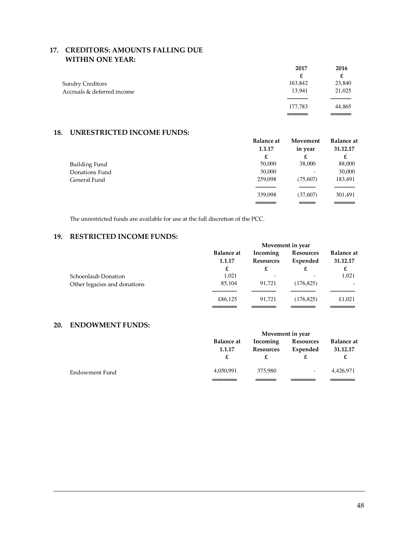# **17. CREDITORS: AMOUNTS FALLING DUE WITHIN ONE YEAR:**

|                            | 2017    | 2016   |
|----------------------------|---------|--------|
|                            | £       | £      |
| <b>Sundry Creditors</b>    | 163,842 | 23,840 |
| Accruals & deferred income | 13.941  | 21,025 |
|                            |         |        |
|                            | 177.783 | 44,865 |
|                            |         |        |

#### **18. UNRESTRICTED INCOME FUNDS:**

|                | <b>Balance at</b> | Movement<br>in year<br>£ | Balance at |
|----------------|-------------------|--------------------------|------------|
|                | 1.1.17            |                          | 31.12.17   |
|                | £                 |                          | £          |
| Building Fund  | 50,000            | 38,000                   | 88,000     |
| Donations Fund | 30,000            | $\overline{\phantom{0}}$ | 30,000     |
| General Fund   | 259,098           | (75,607)                 | 183,491    |
|                |                   |                          |            |
|                | 339,098           | (37,607)                 | 301,491    |
|                |                   |                          |            |

The unrestricted funds are available for use at the full discretion of the PCC.

# **19. RESTRICTED INCOME FUNDS:**

|                              | Movement in year  |                  |            |                          |  |
|------------------------------|-------------------|------------------|------------|--------------------------|--|
|                              | <b>Balance</b> at | Incoming         | Resources  | <b>Balance</b> at        |  |
|                              | 1.1.17            | <b>Resources</b> | Expended   | 31.12.17                 |  |
|                              | £                 | £                | £          | £                        |  |
| Schoenlaub Donation          | 1,021             |                  |            | 1,021                    |  |
| Other legacies and donations | 85,104            | 91,721           | (176, 825) | $\overline{\phantom{0}}$ |  |
|                              | £86,125           | 91.721           | (176.825)  | £1,021                   |  |
|                              |                   |                  |            |                          |  |

#### **20. ENDOWMENT FUNDS:**

|                |                                  | Movement in year      |                       |                               |  |  |
|----------------|----------------------------------|-----------------------|-----------------------|-------------------------------|--|--|
|                | <b>Balance</b> at<br>1.1.17<br>£ | Incoming<br>Resources | Resources<br>Expended | <b>Balance</b> at<br>31.12.17 |  |  |
| Endowment Fund | 4,050,991                        | 375,980               | $\sim$                | 4,426,971                     |  |  |
|                |                                  |                       |                       |                               |  |  |